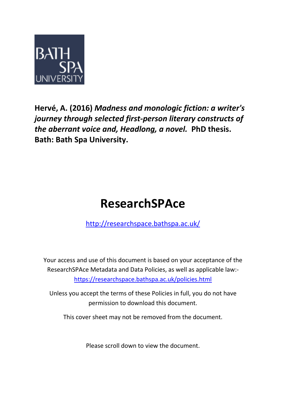

**Hervé, A. (2016)** *Madness and monologic fiction: a writer's journey through selected first-person literary constructs of the aberrant voice and, Headlong, a novel.* **PhD thesis. Bath: Bath Spa University.**

# **ResearchSPAce**

<http://researchspace.bathspa.ac.uk/>

Your access and use of this document is based on your acceptance of the ResearchSPAce Metadata and Data Policies, as well as applicable law: https://researchspace.bathspa.ac.uk/policies.html

Unless you accept the terms of these Policies in full, you do not have permission to download this document.

This cover sheet may not be removed from the document.

Please scroll down to view the document.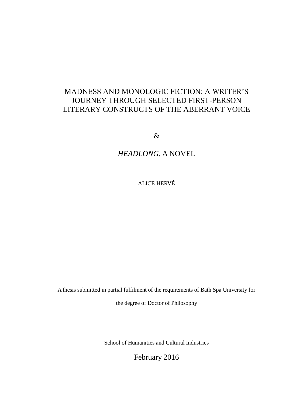# MADNESS AND MONOLOGIC FICTION: A WRITER'S JOURNEY THROUGH SELECTED FIRST-PERSON LITERARY CONSTRUCTS OF THE ABERRANT VOICE

&

# *HEADLONG*, A NOVEL

ALICE HERVÉ

A thesis submitted in partial fulfilment of the requirements of Bath Spa University for

the degree of Doctor of Philosophy

School of Humanities and Cultural Industries

February 2016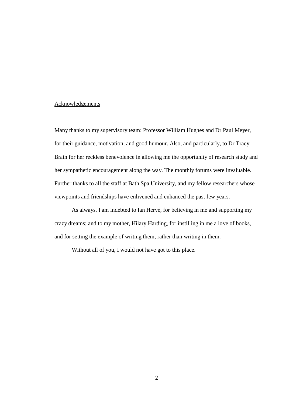### **Acknowledgements**

Many thanks to my supervisory team: Professor William Hughes and Dr Paul Meyer, for their guidance, motivation, and good humour. Also, and particularly, to Dr Tracy Brain for her reckless benevolence in allowing me the opportunity of research study and her sympathetic encouragement along the way. The monthly forums were invaluable. Further thanks to all the staff at Bath Spa University, and my fellow researchers whose viewpoints and friendships have enlivened and enhanced the past few years.

As always, I am indebted to Ian Hervé, for believing in me and supporting my crazy dreams; and to my mother, Hilary Harding, for instilling in me a love of books, and for setting the example of writing them, rather than writing in them.

Without all of you, I would not have got to this place.

2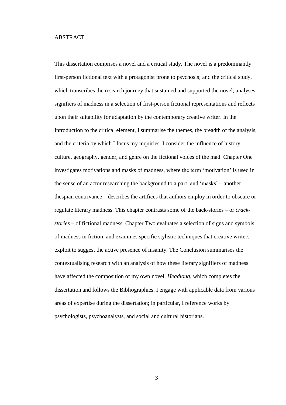#### ABSTRACT

This dissertation comprises a novel and a critical study. The novel is a predominantly first-person fictional text with a protagonist prone to psychosis; and the critical study, which transcribes the research journey that sustained and supported the novel, analyses signifiers of madness in a selection of first-person fictional representations and reflects upon their suitability for adaptation by the contemporary creative writer. In the Introduction to the critical element, I summarise the themes, the breadth of the analysis, and the criteria by which I focus my inquiries. I consider the influence of history, culture, geography, gender, and genre on the fictional voices of the mad. Chapter One investigates motivations and masks of madness, where the term 'motivation' is used in the sense of an actor researching the background to a part, and 'masks' – another thespian contrivance – describes the artifices that authors employ in order to obscure or regulate literary madness. This chapter contrasts some of the back-stories – or *crackstories* – of fictional madness. Chapter Two evaluates a selection of signs and symbols of madness in fiction, and examines specific stylistic techniques that creative writers exploit to suggest the active presence of insanity. The Conclusion summarises the contextualising research with an analysis of how these literary signifiers of madness have affected the composition of my own novel, *Headlong*, which completes the dissertation and follows the Bibliographies. I engage with applicable data from various areas of expertise during the dissertation; in particular, I reference works by psychologists, psychoanalysts, and social and cultural historians.

3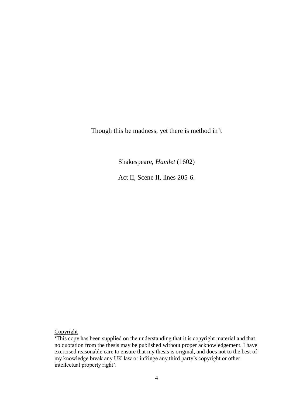Though this be madness, yet there is method in't

Shakespeare, *Hamlet* (1602)

Act II, Scene II, lines 205-6.

## **Copyright**

<sup>&#</sup>x27;This copy has been supplied on the understanding that it is copyright material and that no quotation from the thesis may be published without proper acknowledgement. I have exercised reasonable care to ensure that my thesis is original, and does not to the best of my knowledge break any UK law or infringe any third party's copyright or other intellectual property right'.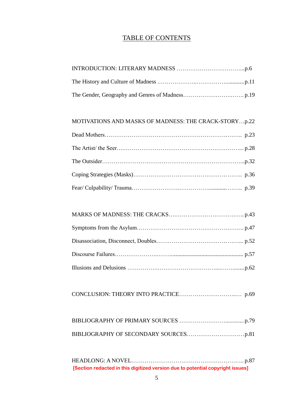## TABLE OF CONTENTS

## MOTIVATIONS AND MASKS OF MADNESS: THE CRACK-STORY…p.22

|--|--|

HEADLONG: A NOVEL………………………………………………….. p.87 **[Section redacted in this digitized version due to potential copyright issues]**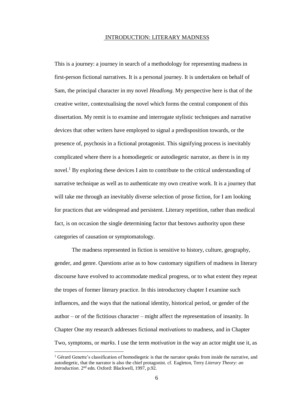#### INTRODUCTION: LITERARY MADNESS

This is a journey: a journey in search of a methodology for representing madness in first-person fictional narratives. It is a personal journey. It is undertaken on behalf of Sam, the principal character in my novel *Headlong.* My perspective here is that of the creative writer, contextualising the novel which forms the central component of this dissertation. My remit is to examine and interrogate stylistic techniques and narrative devices that other writers have employed to signal a predisposition towards, or the presence of, psychosis in a fictional protagonist. This signifying process is inevitably complicated where there is a homodiegetic or autodiegetic narrator, as there is in my novel.<sup>1</sup> By exploring these devices I aim to contribute to the critical understanding of narrative technique as well as to authenticate my own creative work. It is a journey that will take me through an inevitably diverse selection of prose fiction, for I am looking for practices that are widespread and persistent. Literary repetition, rather than medical fact, is on occasion the single determining factor that bestows authority upon these categories of causation or symptomatology.

The madness represented in fiction is sensitive to history, culture, geography, gender, and genre. Questions arise as to how customary signifiers of madness in literary discourse have evolved to accommodate medical progress, or to what extent they repeat the tropes of former literary practice. In this introductory chapter I examine such influences, and the ways that the national identity, historical period, or gender of the author – or of the fictitious character – might affect the representation of insanity. In Chapter One my research addresses fictional *motivations* to madness, and in Chapter Two, symptoms, or *marks*. I use the term *motivation* in the way an actor might use it, as

<sup>&</sup>lt;sup>1</sup> Gérard Genette's classification of homodiegetic is that the narrator speaks from inside the narrative, and autodiegetic, that the narrator is also the chief protagonist. cf. Eagleton, Terry *Literary Theory: an* Introduction. 2<sup>nd</sup> edn. Oxford: Blackwell, 1997, p.92.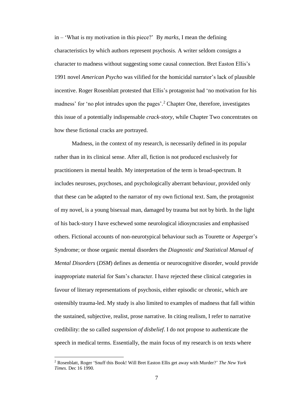in – 'What is my motivation in this piece?' By *marks*, I mean the defining characteristics by which authors represent psychosis. A writer seldom consigns a character to madness without suggesting some causal connection. Bret Easton Ellis's 1991 novel *American Psycho* was vilified for the homicidal narrator's lack of plausible incentive. Roger Rosenblatt protested that Ellis's protagonist had 'no motivation for his madness' for 'no plot intrudes upon the pages'.<sup>2</sup> Chapter One, therefore, investigates this issue of a potentially indispensable *crack-story*, while Chapter Two concentrates on how these fictional cracks are portrayed.

Madness, in the context of my research, is necessarily defined in its popular rather than in its clinical sense. After all, fiction is not produced exclusively for practitioners in mental health. My interpretation of the term is broad-spectrum. It includes neuroses, psychoses, and psychologically aberrant behaviour, provided only that these can be adapted to the narrator of my own fictional text. Sam, the protagonist of my novel, is a young bisexual man, damaged by trauma but not by birth. In the light of his back-story I have eschewed some neurological idiosyncrasies and emphasised others. Fictional accounts of non-neurotypical behaviour such as Tourette or Asperger's Syndrome; or those organic mental disorders the *Diagnostic and Statistical Manual of Mental Disorders* (*DSM*) defines as dementia or neurocognitive disorder, would provide inappropriate material for Sam's character. I have rejected these clinical categories in favour of literary representations of psychosis, either episodic or chronic, which are ostensibly trauma-led. My study is also limited to examples of madness that fall within the sustained, subjective, realist, prose narrative. In citing realism, I refer to narrative credibility: the so called *suspension of disbelief*. I do not propose to authenticate the speech in medical terms. Essentially, the main focus of my research is on texts where

<sup>2</sup> Rosenblatt, Roger 'Snuff this Book! Will Bret Easton Ellis get away with Murder?' *The New York Times.* Dec 16 1990.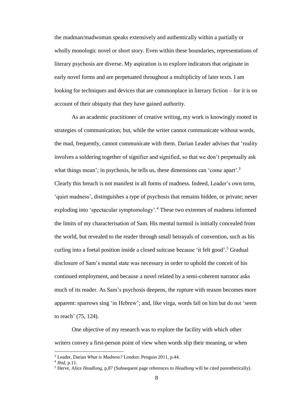the madman/madwoman speaks extensively and authentically within a partially or wholly monologic novel or short story. Even within these boundaries, representations of literary psychosis are diverse. My aspiration is to explore indicators that originate in early novel forms and are perpetuated throughout a multiplicity of later texts. I am looking for techniques and devices that are commonplace in literary fiction – for it is on account of their ubiquity that they have gained authority.

As an academic practitioner of creative writing, my work is knowingly rooted in strategies of communication; but, while the writer cannot communicate without words, the mad, frequently, cannot communicate with them. Darian Leader advises that 'reality involves a soldering together of signifier and signified, so that we don't perpetually ask what things mean'; in psychosis, he tells us, these dimensions can 'come apart'.<sup>3</sup> Clearly this breach is not manifest in all forms of madness. Indeed, Leader's own term, 'quiet madness', distinguishes a type of psychosis that remains hidden, or private; never exploding into 'spectacular symptomology'. <sup>4</sup> These two extremes of madness informed the limits of my characterisation of Sam. His mental turmoil is initially concealed from the world, but revealed to the reader through small betrayals of convention, such as his curling into a foetal position inside a closed suitcase because 'it felt good'. <sup>5</sup> Gradual disclosure of Sam's mental state was necessary in order to uphold the conceit of his continued employment, and because a novel related by a semi-coherent narrator asks much of its reader. As Sam's psychosis deepens, the rupture with reason becomes more apparent: sparrows sing 'in Hebrew'; and, like virga, words fall on him but do not 'seem to reach' (75, 124).

One objective of my research was to explore the facility with which other writers convey a first-person point of view when words slip their meaning, or when

<sup>3</sup> Leader, Darian *What is Madness?* London: Penguin 2011, p.44.

<sup>4</sup> *Ibid*, p.11.

<sup>5</sup> Herve, Alice *Headlong*, p,87 (Subsequent page references to *Headlong* will be cited parenthetically).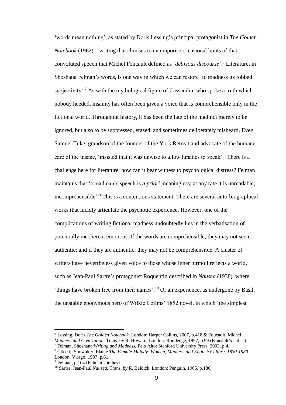'words mean nothing', as stated by Doris Lessing's principal protagonist in *The Golden Notebook* (1962) – writing that chooses to extemporise occasional bouts of that convoluted speech that Michel Foucault defined as '*delirious discourse*'.<sup>6</sup> Literature, in Shoshana Felman's words, is one way in which we can restore 'to madness its robbed subjectivity'.<sup>7</sup> As with the mythological figure of Cassandra, who spoke a truth which nobody heeded, insanity has often been given a voice that is comprehensible only in the fictional world. Throughout history, it has been the fate of the mad not merely to be ignored, but also to be suppressed, erased, and sometimes deliberately misheard. Even Samuel Tuke, grandson of the founder of the York Retreat and advocate of the humane care of the insane, 'insisted that it was unwise to allow lunatics to speak'.<sup>8</sup> There is a challenge here for literature: how can it bear witness to psychological distress? Felman maintains that 'a madman's speech is *a priori* meaningless; at any rate it is unreadable, incomprehensible'. <sup>9</sup> This is a contentious statement. There are several auto-biographical works that lucidly articulate the psychotic experience. However, one of the complications of writing fictional madness undoubtedly lies in the verbalisation of potentially incoherent emotions. If the words are comprehensible, they may not seem authentic; and if they are authentic, they may not be comprehensible. A cluster of writers have nevertheless given voice to those whose inner turmoil reflects a world, such as Jean-Paul Sartre's protagonist Roquentin described in *Nausea* (1938), where 'things have broken free from their names'. <sup>10</sup> Or an experience, as undergone by Basil, the unstable eponymous hero of Wilkie Collins' 1852 novel, in which 'the simplest

<sup>6</sup> Lessing, Doris *The Golden Notebook.* London: Harper Collins, 2007, p.418 & Foucault, Michel *Madness and Civilization.* Trans. by R. Howard. London: Routledge, 1997, p.99 (Foucault's italics).

<sup>7</sup> Felman, Shoshana *Writing and Madness.* Palo Alto: Stanford University Press, 2003, p.4.

<sup>8</sup> Cited in Showalter, Elaine *The Female Malady: Women, Madness and English Culture, 1830-1980.*  London: Virago, 1987, p.61.

<sup>&</sup>lt;sup>9</sup> Felman, p.104 (Felman's italics).

<sup>10</sup> Sartre, Jean-Paul *Nausea,* Trans. by R. Baldick. London: Penguin, 1965, p.180.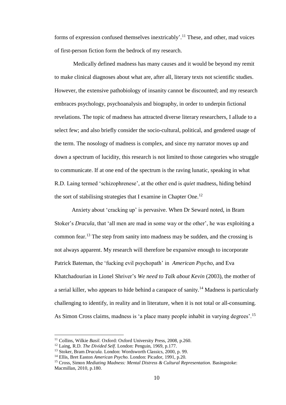forms of expression confused themselves inextricably'.<sup>11</sup> These, and other, mad voices of first-person fiction form the bedrock of my research.

Medically defined madness has many causes and it would be beyond my remit to make clinical diagnoses about what are, after all, literary texts not scientific studies. However, the extensive pathobiology of insanity cannot be discounted; and my research embraces psychology, psychoanalysis and biography, in order to underpin fictional revelations. The topic of madness has attracted diverse literary researchers, I allude to a select few; and also briefly consider the socio-cultural, political, and gendered usage of the term. The nosology of madness is complex, and since my narrator moves up and down a spectrum of lucidity, this research is not limited to those categories who struggle to communicate. If at one end of the spectrum is the raving lunatic, speaking in what R.D. Laing termed 'schizophrenese', at the other end is *quiet* madness, hiding behind the sort of stabilising strategies that I examine in Chapter One.<sup>12</sup>

Anxiety about 'cracking up' is pervasive. When Dr Seward noted, in Bram Stoker's *Dracula*, that 'all men are mad in some way or the other', he was exploiting a common fear.<sup>13</sup> The step from sanity into madness may be sudden, and the crossing is not always apparent. My research will therefore be expansive enough to incorporate Patrick Bateman, the 'fucking evil psychopath' in *American Psycho*, and Eva Khatchadourian in Lionel Shriver's *We need to Talk about Kevin* (2003), the mother of a serial killer, who appears to hide behind a carapace of sanity.<sup>14</sup> Madness is particularly challenging to identify, in reality and in literature, when it is not total or all-consuming. As Simon Cross claims, madness is 'a place many people inhabit in varying degrees'.<sup>15</sup>

<sup>11</sup> Collins, Wilkie *Basil*. Oxford: Oxford University Press, 2008, p.260.

<sup>12</sup> Laing, R.D. *The Divided Self.* London: Penguin, 1969, p.177.

<sup>13</sup> Stoker, Bram *Dracula.* London: Wordsworth Classics, 2000, p. 99.

<sup>14</sup> Ellis, Bret Easton *American Psycho.* London: Picador, 1991, p.20.

<sup>&</sup>lt;sup>15</sup> Cross, Simon *Mediating Madness: Mental Distress & Cultural Representation*. Basingstoke: Macmillan, 2010, p.180.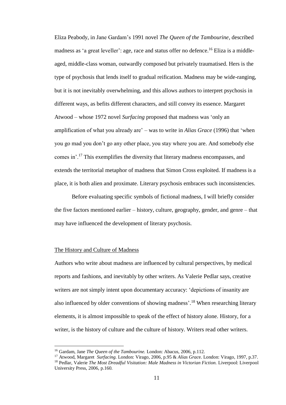Eliza Peabody, in Jane Gardam's 1991 novel *The Queen of the Tambourine,* described madness as 'a great leveller': age, race and status offer no defence.<sup>16</sup> Eliza is a middleaged, middle-class woman, outwardly composed but privately traumatised. Hers is the type of psychosis that lends itself to gradual reification. Madness may be wide-ranging, but it is not inevitably overwhelming, and this allows authors to interpret psychosis in different ways, as befits different characters, and still convey its essence. Margaret Atwood – whose 1972 novel *Surfacing* proposed that madness was 'only an amplification of what you already are' – was to write in *Alias Grace* (1996) that 'when you go mad you don't go any other place, you stay where you are. And somebody else comes in'.<sup>17</sup> This exemplifies the diversity that literary madness encompasses, and extends the territorial metaphor of madness that Simon Cross exploited. If madness is a place, it is both alien and proximate. Literary psychosis embraces such inconsistencies.

Before evaluating specific symbols of fictional madness, I will briefly consider the five factors mentioned earlier – history, culture, geography, gender, and genre – that may have influenced the development of literary psychosis.

#### The History and Culture of Madness

Authors who write about madness are influenced by cultural perspectives, by medical reports and fashions, and inevitably by other writers. As Valerie Pedlar says, creative writers are not simply intent upon documentary accuracy: 'depictions of insanity are also influenced by older conventions of showing madness'.<sup>18</sup> When researching literary elements, it is almost impossible to speak of the effect of history alone. History, for a writer, is the history of culture and the culture of history. Writers read other writers.

<sup>16</sup> Gardam, Jane *The Queen of the Tambourine.* London: Abacus, 2006, p.112.

<sup>17</sup> Atwood, Margaret *Surfacing.* London: Virago, 2006, p.95 & *Alias Grac*e. London: Virago, 1997, p.37. <sup>18</sup> Pedlar, Valerie *The Most Dreadful Visitation: Male Madness in Victorian Fiction.* Liverpool: Liverpool

University Press, 2006, p.160.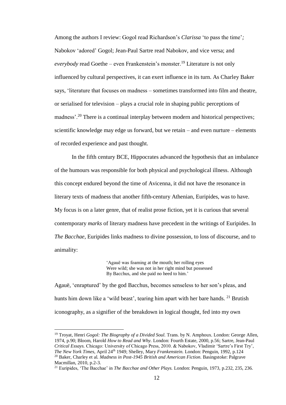Among the authors I review: Gogol read Richardson's *Clarissa* 'to pass the time'*;* Nabokov 'adored' Gogol; Jean-Paul Sartre read Nabokov, and vice versa; and *everybody* read Goethe – even Frankenstein's monster.<sup>19</sup> Literature is not only influenced by cultural perspectives, it can exert influence in its turn. As Charley Baker says, 'literature that focuses on madness – sometimes transformed into film and theatre, or serialised for television – plays a crucial role in shaping public perceptions of madness'.<sup>20</sup> There is a continual interplay between modern and historical perspectives; scientific knowledge may edge us forward, but we retain – and even nurture – elements of recorded experience and past thought.

In the fifth century BCE, Hippocrates advanced the hypothesis that an imbalance of the humours was responsible for both physical and psychological illness. Although this concept endured beyond the time of Avicenna, it did not have the resonance in literary texts of madness that another fifth-century Athenian, Euripides, was to have. My focus is on a later genre, that of realist prose fiction, yet it is curious that several contemporary *marks* of literary madness have precedent in the writings of Euripides. In *The Bacchae*, Euripides links madness to divine possession, to loss of discourse, and to animality:

> 'Agauë was foaming at the mouth; her rolling eyes Were wild; she was not in her right mind but possessed By Bacchus, and she paid no heed to him.'

Agauë, 'enraptured' by the god Bacchus, becomes senseless to her son's pleas, and hunts him down like a 'wild beast', tearing him apart with her bare hands. <sup>21</sup> Brutish iconography, as a signifier of the breakdown in logical thought, fed into my own

<sup>&</sup>lt;sup>19</sup> Troyat, Henri *Gogol: The Biography of a Divided Soul*. Trans. by N. Amphoux. London: George Allen, 1974, p.90; Bloom, Harold *How to Read and Why.* London: Fourth Estate, 2000, p.56; Sartre, Jean-Paul *Critical Essays.* Chicago: University of Chicago Press, 2010. & Nabokov, Vladimir 'Sartre's First Try', *The New York Times,* April 24th 1949; Shelley, Mary *Frankenstein.* London: Penguin, 1992, p.124 <sup>20</sup> Baker, Charley et al. *Madness in Post-1945 British and American Fiction.* Basingstoke: Palgrave Macmillan, 2010, p.2-3.

<sup>21</sup> Euripides, 'The Bacchae' in *The Bacchae and Other Plays.* London: Penguin, 1973, p.232, 235, 236.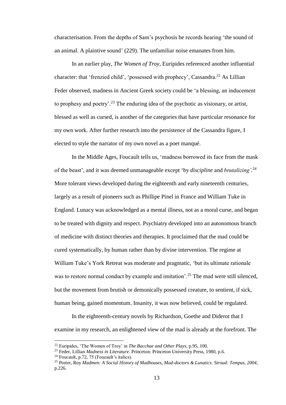characterisation. From the depths of Sam's psychosis he records hearing 'the sound of an animal. A plaintive sound' (229). The unfamiliar noise emanates from him.

In an earlier play, *The Women of Troy*, Euripides referenced another influential character: that 'frenzied child', 'possessed with prophecy', Cassandra. <sup>22</sup> As Lillian Feder observed, madness in Ancient Greek society could be 'a blessing, an inducement to prophesy and poetry'.<sup>23</sup> The enduring idea of the psychotic as visionary, or artist, blessed as well as cursed, is another of the categories that have particular resonance for my own work. After further research into the persistence of the Cassandra figure, I elected to style the narrator of my own novel as a poet manqué.

In the Middle Ages, Foucault tells us, 'madness borrowed its face from the mask of the beast', and it was deemed unmanageable except 'by *discipline* and *brutalizing'.* 24 More tolerant views developed during the eighteenth and early nineteenth centuries, largely as a result of pioneers such as Phillipe Pinel in France and William Tuke in England. Lunacy was acknowledged as a mental illness, not as a moral curse, and began to be treated with dignity and respect. Psychiatry developed into an autonomous branch of medicine with distinct theories and therapies. It proclaimed that the mad could be cured systematically, by human rather than by divine intervention. The regime at William Tuke's York Retreat was moderate and pragmatic, 'but its ultimate rationale was to restore normal conduct by example and imitation'.<sup>25</sup> The mad were still silenced, but the movement from brutish or demonically possessed creature, to sentient, if sick, human being, gained momentum. Insanity, it was now believed, could be regulated.

In the eighteenth-century novels by Richardson, Goethe and Diderot that I examine in my research, an enlightened view of the mad is already at the forefront. The

<sup>22</sup> Euripides, 'The Women of Troy' in *The Bacchae and Other Plays*, p.95, 100.

<sup>23</sup> Feder, Lillian *Madness in Literature.* Princeton: Princeton University Press, 1980, p.6.

 $24$  Foucault, p.72, 75 (Foucault's italics).

<sup>25</sup> Porter, Roy *Madmen: A Social History of Madhouses, Mad-doctors & Lunatics. Stroud: Tempus, 2004,* p.226.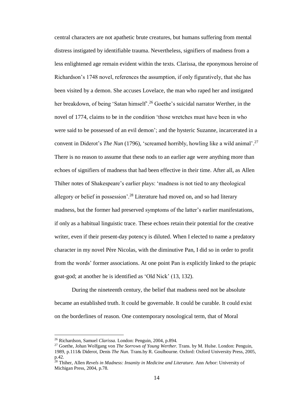central characters are not apathetic brute creatures, but humans suffering from mental distress instigated by identifiable trauma. Nevertheless, signifiers of madness from a less enlightened age remain evident within the texts. Clarissa, the eponymous heroine of Richardson's 1748 novel, references the assumption, if only figuratively, that she has been visited by a demon. She accuses Lovelace, the man who raped her and instigated her breakdown, of being 'Satan himself'.<sup>26</sup> Goethe's suicidal narrator Werther, in the novel of 1774, claims to be in the condition 'those wretches must have been in who were said to be possessed of an evil demon'; and the hysteric Suzanne, incarcerated in a convent in Diderot's *The Nun* (1796), 'screamed horribly, howling like a wild animal'. 27 There is no reason to assume that these nods to an earlier age were anything more than echoes of signifiers of madness that had been effective in their time. After all, as Allen Thiher notes of Shakespeare's earlier plays: 'madness is not tied to any theological allegory or belief in possession'.<sup>28</sup> Literature had moved on, and so had literary madness, but the former had preserved symptoms of the latter's earlier manifestations, if only as a habitual linguistic trace. These echoes retain their potential for the creative writer, even if their present-day potency is diluted. When I elected to name a predatory character in my novel Père Nicolas, with the diminutive Pan, I did so in order to profit from the words' former associations. At one point Pan is explicitly linked to the priapic goat-god; at another he is identified as 'Old Nick' (13, 132).

During the nineteenth century, the belief that madness need not be absolute became an established truth. It could be governable. It could be curable. It could exist on the borderlines of reason. One contemporary nosological term, that of Moral

<sup>26</sup> Richardson, Samuel *Clarissa.* London: Penguin, 2004, p.894.

<sup>27</sup> Goethe, Johan Wolfgang von *The Sorrows of Young Werther.* Trans. by M. Hulse. London: Penguin, 1989, p.111& Diderot, Denis *The Nun.* Trans.by R. Goulbourne. Oxford: Oxford University Press, 2005, p.42.

<sup>28</sup> Thiher, Allen *Revels in Madness: Insanity in Medicine and Literature.* Ann Arbor: University of Michigan Press, 2004, p.78.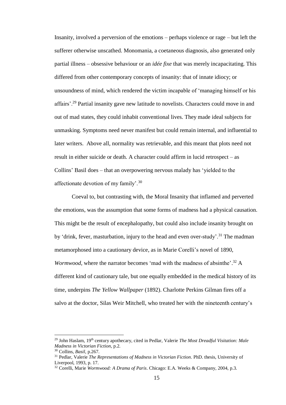Insanity, involved a perversion of the emotions – perhaps violence or rage – but left the sufferer otherwise unscathed. Monomania, a coetaneous diagnosis, also generated only partial illness – obsessive behaviour or an *idée fixe* that was merely incapacitating. This differed from other contemporary concepts of insanity: that of innate idiocy; or unsoundness of mind, which rendered the victim incapable of 'managing himself or his affairs'.<sup>29</sup> Partial insanity gave new latitude to novelists. Characters could move in and out of mad states, they could inhabit conventional lives. They made ideal subjects for unmasking. Symptoms need never manifest but could remain internal, and influential to later writers. Above all, normality was retrievable, and this meant that plots need not result in either suicide or death. A character could affirm in lucid retrospect – as Collins' Basil does – that an overpowering nervous malady has 'yielded to the affectionate devotion of my family'.<sup>30</sup>

Coeval to, but contrasting with, the Moral Insanity that inflamed and perverted the emotions, was the assumption that some forms of madness had a physical causation. This might be the result of encephalopathy, but could also include insanity brought on by 'drink, fever, masturbation, injury to the head and even over-study'.<sup>31</sup> The madman metamorphosed into a cautionary device, as in Marie Corelli's novel of 1890, *Wormwood*, where the narrator becomes 'mad with the madness of absinthe'.<sup>32</sup> A different kind of cautionary tale, but one equally embedded in the medical history of its time, underpins *The Yellow Wallpaper* (1892). Charlotte Perkins Gilman fires off a salvo at the doctor, Silas Weir Mitchell, who treated her with the nineteenth century's

<sup>&</sup>lt;sup>29</sup> John Haslam, 19<sup>th</sup> century apothecary, cited in Pedlar, Valerie *The Most Dreadful Visitation: Male Madness in Victorian Fiction*, p.2.

<sup>30</sup> Collins, *Basil*, p.267.

<sup>31</sup> Pedlar, Valerie *The Representations of Madness in Victorian Fiction*. PhD. thesis, University of Liverpool, 1993, p. 17.

<sup>32</sup> Corelli, Marie *Wormwood: A Drama of Paris*. Chicago: E.A. Weeks & Company, 2004, p.3.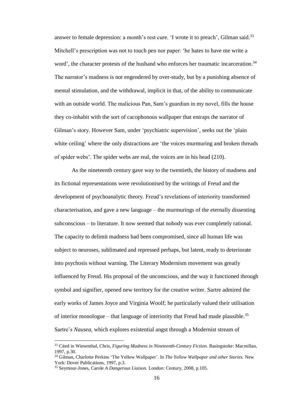answer to female depression: a month's rest cure. 'I wrote it to preach', Gilman said.<sup>33</sup> Mitchell's prescription was not to touch pen nor paper: 'he hates to have me write a word', the character protests of the husband who enforces her traumatic incarceration.<sup>34</sup> The narrator's madness is not engendered by over-study, but by a punishing absence of mental stimulation, and the withdrawal, implicit in that, of the ability to communicate with an outside world. The malicious Pan, Sam's guardian in my novel, fills the house they co-inhabit with the sort of cacophonous wallpaper that entraps the narrator of Gilman's story. However Sam, under 'psychiatric supervision', seeks out the 'plain white ceiling' where the only distractions are 'the voices murmuring and broken threads of spider webs'. The spider webs are real, the voices are in his head (210).

As the nineteenth century gave way to the twentieth, the history of madness and its fictional representations were revolutionised by the writings of Freud and the development of psychoanalytic theory. Freud's revelations of interiority transformed characterisation, and gave a new language – the murmurings of the eternally dissenting subconscious – to literature. It now seemed that nobody was ever completely rational. The capacity to delimit madness had been compromised, since all human life was subject to neuroses, sublimated and repressed perhaps, but latent, ready to deteriorate into psychosis without warning. The Literary Modernism movement was greatly influenced by Freud. His proposal of the unconscious, and the way it functioned through symbol and signifier, opened new territory for the creative writer. Sartre admired the early works of James Joyce and Virginia Woolf; he particularly valued their utilisation of interior monologue – that language of interiority that Freud had made plausible.<sup>35</sup> Sartre's *Nausea*, which explores existential angst through a Modernist stream of

<sup>33</sup> Cited in Wiesenthal, Chris, *Figuring Madness in Nineteenth-Century Fiction.* Basingstoke: Macmillan, 1997, p.30.

<sup>34</sup> Gilman, Charlotte Perkins 'The Yellow Wallpaper'. In *The Yellow Wallpaper and other Stories.* New York: Dover Publications, 1997, p.3.

<sup>35</sup> Seymour-Jones, Carole *A Dangerous Liaison.* London: Century, 2008, p.105.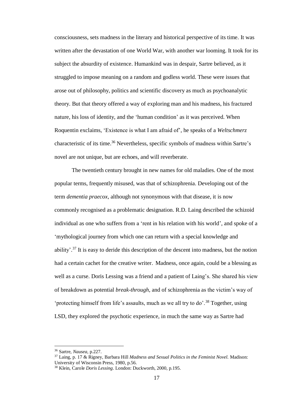consciousness, sets madness in the literary and historical perspective of its time. It was written after the devastation of one World War, with another war looming. It took for its subject the absurdity of existence. Humankind was in despair, Sartre believed, as it struggled to impose meaning on a random and godless world. These were issues that arose out of philosophy, politics and scientific discovery as much as psychoanalytic theory. But that theory offered a way of exploring man and his madness, his fractured nature, his loss of identity, and the 'human condition' as it was perceived. When Roquentin exclaims, 'Existence is what I am afraid of', he speaks of a *Weltschmerz* characteristic of its time.<sup>36</sup> Nevertheless, specific symbols of madness within Sartre's novel are not unique, but are echoes, and will reverberate.

The twentieth century brought in new names for old maladies. One of the most popular terms, frequently misused, was that of schizophrenia. Developing out of the term *dementia praecox*, although not synonymous with that disease, it is now commonly recognised as a problematic designation. R.D. Laing described the schizoid individual as one who suffers from a 'rent in his relation with his world', and spoke of a 'mythological journey from which one can return with a special knowledge and ability'.<sup>37</sup> It is easy to deride this description of the descent into madness, but the notion had a certain cachet for the creative writer. Madness, once again, could be a blessing as well as a curse. Doris Lessing was a friend and a patient of Laing's. She shared his view of breakdown as potential *break*-*through*, and of schizophrenia as the victim's way of 'protecting himself from life's assaults, much as we all try to do'.<sup>38</sup> Together, using LSD, they explored the psychotic experience, in much the same way as Sartre had

<sup>36</sup> Sartre, *Nausea*, p.227.

<sup>37</sup> Laing, p. 17 & Rigney, Barbara Hill *Madness and Sexual Politics in the Feminist Novel.* Madison: University of Wisconsin Press, 1980, p.56.

<sup>38</sup> Klein, Carole *Doris Lessing*. London: Duckworth, 2000, p.195.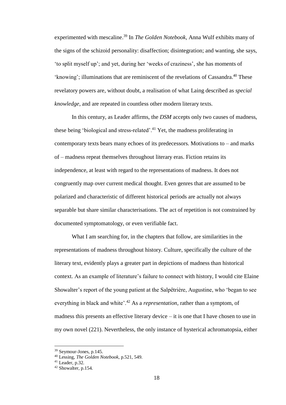experimented with mescaline.<sup>39</sup> In *The Golden Notebook*, Anna Wulf exhibits many of the signs of the schizoid personality: disaffection; disintegration; and wanting, she says, 'to split myself up'; and yet, during her 'weeks of craziness', she has moments of 'knowing'; illuminations that are reminiscent of the revelations of Cassandra.<sup>40</sup> These revelatory powers are, without doubt, a realisation of what Laing described as *special knowledge*, and are repeated in countless other modern literary texts.

In this century, as Leader affirms, the *DSM* accepts only two causes of madness, these being 'biological and stress-related'.<sup>41</sup> Yet, the madness proliferating in contemporary texts bears many echoes of its predecessors. Motivations to – and marks of – madness repeat themselves throughout literary eras. Fiction retains its independence, at least with regard to the representations of madness. It does not congruently map over current medical thought. Even genres that are assumed to be polarized and characteristic of different historical periods are actually not always separable but share similar characterisations. The act of repetition is not constrained by documented symptomatology, or even verifiable fact.

What I am searching for, in the chapters that follow, are similarities in the representations of madness throughout history. Culture, specifically the culture of the literary text, evidently plays a greater part in depictions of madness than historical context. As an example of literature's failure to connect with history, I would cite Elaine Showalter's report of the young patient at the Salpêtrière, Augustine, who 'began to see everything in black and white'.<sup>42</sup> As a *representation*, rather than a symptom, of madness this presents an effective literary device – it is one that I have chosen to use in my own novel (221). Nevertheless, the only instance of hysterical achromatopsia, either

<sup>39</sup> Seymour-Jones, p.145.

<sup>40</sup> Lessing, *The Golden Notebook*, p.521, 549.

 $41$  Leader, p.32.

<sup>42</sup> Showalter, p.154.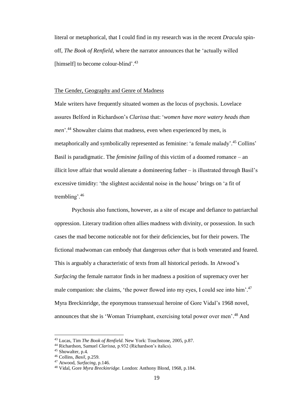literal or metaphorical, that I could find in my research was in the recent *Dracula* spinoff, *The Book of Renfield*, where the narrator announces that he 'actually willed [himself] to become colour-blind'.<sup>43</sup>

#### The Gender, Geography and Genre of Madness

Male writers have frequently situated women as the locus of psychosis. Lovelace assures Belford in Richardson's *Clarissa* that: '*women have more watery heads than men*<sup>'.44</sup> Showalter claims that madness, even when experienced by men, is metaphorically and symbolically represented as feminine: 'a female malady'. <sup>45</sup> Collins' Basil is paradigmatic. The *feminine failing* of this victim of a doomed romance – an illicit love affair that would alienate a domineering father – is illustrated through Basil's excessive timidity: 'the slightest accidental noise in the house' brings on 'a fit of trembling'.<sup>46</sup>

Psychosis also functions, however, as a site of escape and defiance to patriarchal oppression. Literary tradition often allies madness with divinity, or possession. In such cases the mad become noticeable not for their deficiencies, but for their powers. The fictional madwoman can embody that dangerous *other* that is both venerated and feared. This is arguably a characteristic of texts from all historical periods. In Atwood's *Surfacing* the female narrator finds in her madness a position of supremacy over her male companion: she claims, 'the power flowed into my eyes, I could see into him'.<sup>47</sup> Myra Breckinridge, the eponymous transsexual heroine of Gore Vidal's 1968 novel, announces that she is 'Woman Triumphant, exercising total power over men'.<sup>48</sup> And

<sup>43</sup> Lucas, Tim *The Book of Renfield.* New York: Touchstone, 2005, p.87.

<sup>44</sup> Richardson, Samuel *Clarissa*, p.932 (Richardson's italics).

<sup>&</sup>lt;sup>45</sup> Showalter, p.4.

<sup>46</sup> Collins, *Basil*, p.259.

<sup>47</sup> Atwood, *Surfacing,* p.146.

<sup>48</sup> Vidal, Gore *Myra Breckinridge.* London: Anthony Blond, 1968, p.184.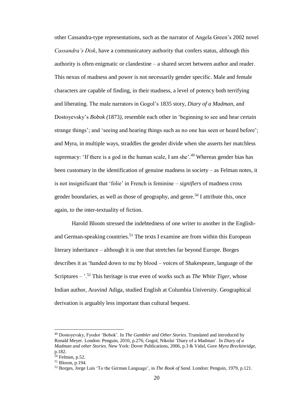other Cassandra-type representations, such as the narrator of Angela Green's 2002 novel *Cassandra's Disk*, have a communicatory authority that confers status, although this authority is often enigmatic or clandestine – a shared secret between author and reader. This nexus of madness and power is not necessarily gender specific. Male and female characters are capable of finding, in their madness, a level of potency both terrifying and liberating. The male narrators in Gogol's 1835 story, *Diary of a Madman*, and Dostoyevsky's *Bobok (*1873*),* resemble each other in 'beginning to see and hear certain strange things'; and 'seeing and hearing things such as no one has seen or heard before'; and Myra, in multiple ways, straddles the gender divide when she asserts her matchless supremacy: 'If there is a god in the human scale, I am she'.<sup>49</sup> Whereas gender bias has been customary in the identification of genuine madness in society – as Felman notes, it is not insignificant that 'folie' in French is feminine – *signifiers* of madness cross gender boundaries, as well as those of geography, and genre.<sup>50</sup> I attribute this, once again, to the inter-textuality of fiction.

Harold Bloom stressed the indebtedness of one writer to another in the Englishand German-speaking countries.<sup>51</sup> The texts I examine are from within this European literary inheritance – although it is one that stretches far beyond Europe. Borges describes it as 'handed down to me by blood – voices of Shakespeare, language of the Scriptures – '.<sup>52</sup> This heritage is true even of works such as *The White Tiger*, whose Indian author, Aravind Adiga, studied English at Columbia University. Geographical derivation is arguably less important than cultural bequest.

<sup>49</sup> Dostoyevsky, Fyodor 'Bobok'. In *The Gambler and Other Stories.* Translated and introduced by Ronald Meyer. London: Penguin, 2010, p.276; Gogol, Nikolai 'Diary of a Madman'. In *Diary of a Madman and other Stories.* New York: Dover Publications, 2006, p.3 & Vidal, Gore *Myra Breckinridge,* p.182.

 $50$  Felman, p.52.

<sup>51</sup> Bloom, p.194.

<sup>52</sup> Borges, Jorge Luis 'To the German Language', in *The Book of Sand.* London: Penguin, 1979, p.121.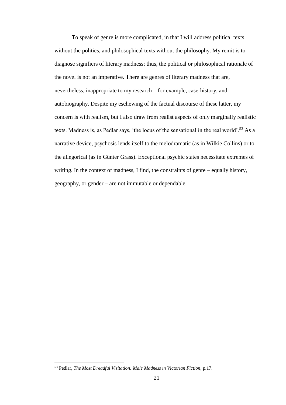To speak of genre is more complicated, in that I will address political texts without the politics, and philosophical texts without the philosophy. My remit is to diagnose signifiers of literary madness; thus, the political or philosophical rationale of the novel is not an imperative. There are genres of literary madness that are, nevertheless, inappropriate to my research – for example, case-history, and autobiography. Despite my eschewing of the factual discourse of these latter, my concern is with realism, but I also draw from realist aspects of only marginally realistic texts. Madness is, as Pedlar says, 'the locus of the sensational in the real world'.<sup>53</sup> As a narrative device, psychosis lends itself to the melodramatic (as in Wilkie Collins) or to the allegorical (as in Günter Grass). Exceptional psychic states necessitate extremes of writing. In the context of madness, I find, the constraints of genre – equally history, geography, or gender – are not immutable or dependable.

<sup>53</sup> Pedlar, *The Most Dreadful Visitation: Male Madness in Victorian Fiction*, p.17.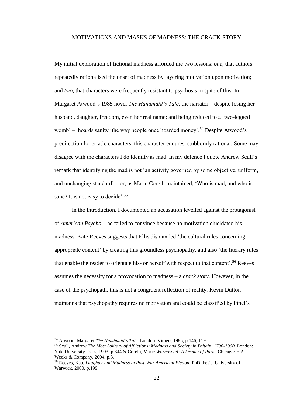#### MOTIVATIONS AND MASKS OF MADNESS: THE CRACK-STORY

My initial exploration of fictional madness afforded me two lessons: *one*, that authors repeatedly rationalised the onset of madness by layering motivation upon motivation; and *two*, that characters were frequently resistant to psychosis in spite of this. In Margaret Atwood's 1985 novel *The Handmaid's Tale*, the narrator – despite losing her husband, daughter, freedom, even her real name; and being reduced to a 'two-legged womb' – hoards sanity 'the way people once hoarded money'. <sup>54</sup> Despite Atwood's predilection for erratic characters, this character endures, stubbornly rational. Some may disagree with the characters I do identify as mad. In my defence I quote Andrew Scull's remark that identifying the mad is not 'an activity governed by some objective, uniform, and unchanging standard' – or, as Marie Corelli maintained, 'Who is mad, and who is sane? It is not easy to decide'.<sup>55</sup>

In the Introduction, I documented an accusation levelled against the protagonist of *American Psycho* – he failed to convince because no motivation elucidated his madness. Kate Reeves suggests that Ellis dismantled 'the cultural rules concerning appropriate content' by creating this groundless psychopathy, and also 'the literary rules that enable the reader to orientate his- or herself with respect to that content'.<sup>56</sup> Reeves assumes the necessity for a provocation to madness – a *crack story*. However, in the case of the psychopath, this is not a congruent reflection of reality. Kevin Dutton maintains that psychopathy requires no motivation and could be classified by Pinel's

<sup>54</sup> Atwood, Margaret *The Handmaid's Tale.* London: Virago, 1986, p.146, 119.

<sup>55</sup> Scull, Andrew *The Most Solitary of Afflictions: Madness and Society in Britain, 1700-1900.* London: Yale University Press, 1993, p.344 & Corelli, Marie *Wormwood: A Drama of Paris*. Chicago: E.A. Weeks & Company, 2004, p.3.

<sup>56</sup> Reeves, Kate *Laughter and Madness in Post-War American Fiction*. PhD thesis, University of Warwick, 2000, p.199.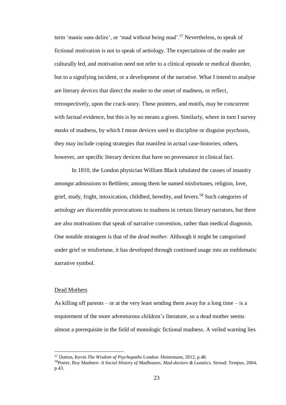term 'manie sans delire', or 'mad without being mad'.<sup>57</sup> Nevertheless, to speak of fictional motivation is not to speak of aetiology. The expectations of the reader are culturally led, and motivation need not refer to a clinical episode or medical disorder, but to a signifying incident, or a development of the narrative. What I intend to analyse are literary *devices* that direct the reader to the onset of madness, or reflect, retrospectively, upon the crack-story. These pointers, and motifs, may be concurrent with factual evidence, but this is by no means a given. Similarly, where in turn I survey *masks* of madness, by which I mean devices used to discipline or disguise psychosis, they may include coping strategies that manifest in actual case-histories; others, however, are specific literary devices that have no provenance in clinical fact.

In 1810, the London physician William Black tabulated the causes of insanity amongst admissions to Bethlem; among them he named misfortunes, religion, love, grief, study, fright, intoxication, childbed, heredity, and fevers.<sup>58</sup> Such categories of aetiology are discernible provocations to madness in certain literary narrators, but there are also motivations that speak of narrative convention, rather than medical diagnosis. One notable stratagem is that of the *dead mother*. Although it might be categorised under grief or misfortune, it has developed through continued usage into an emblematic narrative symbol.

#### Dead Mothers

 $\overline{a}$ 

As killing off parents – or at the very least sending them away for a long time – is a requirement of the more adventurous children's literature, so a dead mother seems almost a prerequisite in the field of monologic fictional madness. A veiled warning lies

<sup>57</sup> Dutton, Kevin *The Wisdom of Psychopaths* London: Heinemann, 2012, p.48.

<sup>58</sup>Porter, Roy M*admen: A Social History of Madhouses, Mad-doctors & Lunatics.* Stroud: Tempus, 2004, p.43.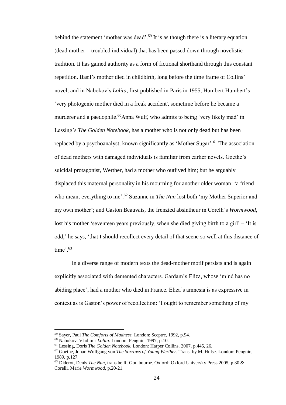behind the statement 'mother was dead'.<sup>59</sup> It is as though there is a literary equation  $(dead mother = troubled individual) that has been passed down through novelistic)$ tradition. It has gained authority as a form of fictional shorthand through this constant repetition. Basil's mother died in childbirth, long before the time frame of Collins' novel; and in Nabokov's *Lolita,* first published in Paris in 1955, Humbert Humbert's 'very photogenic mother died in a freak accident', sometime before he became a murderer and a paedophile.<sup>60</sup>Anna Wulf, who admits to being 'very likely mad' in Lessing's *The Golden Notebook*, has a mother who is not only dead but has been replaced by a psychoanalyst, known significantly as 'Mother Sugar'.<sup>61</sup> The association of dead mothers with damaged individuals is familiar from earlier novels. Goethe's suicidal protagonist, Werther, had a mother who outlived him; but he arguably displaced this maternal personality in his mourning for another older woman: 'a friend who meant everything to me'.<sup>62</sup> Suzanne in *The Nun* lost both 'my Mother Superior and my own mother'; and Gaston Beauvais, the frenzied absintheur in Corelli's *Wormwood*, lost his mother 'seventeen years previously, when she died giving birth to a girl' – 'It is odd,' he says, 'that I should recollect every detail of that scene so well at this distance of time'. 63

In a diverse range of modern texts the dead-mother motif persists and is again explicitly associated with demented characters. Gardam's Eliza, whose 'mind has no abiding place', had a mother who died in France. Eliza's amnesia is as expressive in context as is Gaston's power of recollection: 'I ought to remember something of my

<sup>59</sup> Sayer, Paul *The Comforts of Madness.* London: Sceptre, 1992, p.94.

<sup>60</sup> Nabokov, Vladimir *Lolita.* London: Penguin, 1997, p.10.

<sup>61</sup> Lessing, Doris *The Golden Notebook.* London: Harper Collins, 2007, p.445, 26.

<sup>62</sup> Goethe, Johan Wolfgang von *The Sorrows of Young Werther.* Trans. by M. Hulse. London: Penguin, 1989, p.127.

<sup>63</sup> Diderot, Denis *The Nun*, trans be R. Goulbourne. Oxford: Oxford University Press 2005, p.30 & Corelli, Marie *Wormwood*, p.20-21.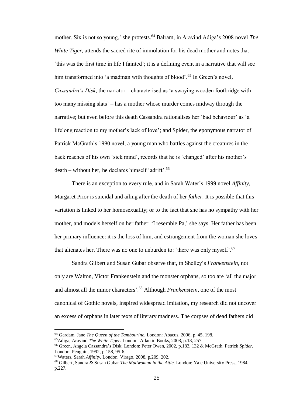mother. Six is not so young,' she protests.<sup>64</sup> Balram, in Aravind Adiga's 2008 novel *The White Tiger*, attends the sacred rite of immolation for his dead mother and notes that 'this was the first time in life I fainted'; it is a defining event in a narrative that will see him transformed into 'a madman with thoughts of blood'.<sup>65</sup> In Green's novel, *Cassandra's Disk*, the narrator – characterised as 'a swaying wooden footbridge with too many missing slats' – has a mother whose murder comes midway through the narrative; but even before this death Cassandra rationalises her 'bad behaviour' as 'a lifelong reaction to my mother's lack of love'; and Spider, the eponymous narrator of Patrick McGrath's 1990 novel, a young man who battles against the creatures in the back reaches of his own 'sick mind', records that he is 'changed' after his mother's death – without her, he declares himself 'adrift'.<sup>66</sup>

There is an exception to every rule, and in Sarah Water's 1999 novel *Affinity,* Margaret Prior is suicidal and ailing after the death of her *father*. It is possible that this variation is linked to her homosexuality; or to the fact that she has no sympathy with her mother, and models herself on her father: 'I resemble Pa,' she says. Her father has been her primary influence: it is the loss of him, and estrangement from the woman she loves that alienates her. There was no one to unburden to: 'there was only myself'.<sup>67</sup>

Sandra Gilbert and Susan Gubar observe that, in Shelley's *Frankenstein*, not only are Walton, Victor Frankenstein and the monster orphans, so too are 'all the major and almost all the minor characters'.<sup>68</sup> Although *Frankenstein*, one of the most canonical of Gothic novels, inspired widespread imitation, my research did not uncover an excess of orphans in later texts of literary madness. The corpses of dead fathers did

<sup>64</sup> Gardam, Jane *The Queen of the Tambourine*, London: Abacus, 2006, p. 45, 198.

<sup>65</sup>Adiga, Aravind *The White Tiger.* London: Atlantic Books, 2008, p.18, 257.

<sup>66</sup> Green, Angela Cassandra's Disk. London: Peter Owen, 2002, p.183, 132 & McGrath, Patrick *Spider.*  London: Penguin, 1992, p.158, 95-6.

<sup>67</sup>Waters, Sarah *Affinity.* London: Virago, 2008, p.209, 202.

<sup>68</sup> Gilbert, Sandra & Susan Gubar *The Madwoman in the Attic.* London: Yale University Press, 1984, p.227.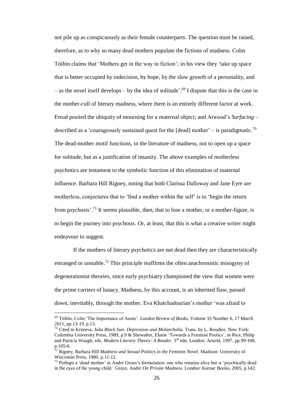not pile up as conspicuously as their female counterparts. The question must be raised, therefore, as to why so many dead mothers populate the fictions of madness. Colm Tóibín claims that 'Mothers get in the way in fiction'; in his view they 'take up space that is better occupied by indecision, by hope, by the slow growth of a personality, and – as the novel itself develops – by the idea of solitude'. <sup>69</sup> I dispute that this is the case in the mother-cull of literary madness, where there is an entirely different factor at work. Freud posited the ubiquity of mourning for a maternal object; and Atwood's *Surfacing –* described as a 'courageously sustained quest for the [dead] mother' – is paradigmatic.<sup>70</sup> The dead-mother motif functions, in the literature of madness, not to open up a space for solitude, but as a justification of insanity. The above examples of motherless psychotics are testament to the symbolic function of this elimination of maternal influence. Barbara Hill Rigney, noting that both Clarissa Dalloway and Jane Eyre are motherless, conjectures that to 'find a mother within the self' is to 'begin the return from psychosis'.<sup>71</sup> It seems plausible, then, that to lose a mother, or a mother-figure, is to begin the journey into psychosis. Or, at least, that this is what a creative writer might endeavour to suggest.

If the mothers of literary psychotics are not dead then they are characteristically estranged or unstable.<sup>72</sup> This principle reaffirms the often anachronistic misogyny of degenerationist theories, since early psychiatry championed the view that women were the prime carriers of lunacy. Madness, by this account, is an inherited flaw, passed down, inevitably, through the mother. Eva Khatchadourian's mother 'was afraid to

<sup>69</sup> Tóibín, Colm 'The Importance of Aunts'. *London Review of Books*, Volume 33 Number 6, 17 March 2011, pp.13-19, p.13.

<sup>70</sup> Cited in Kristeva, Julia *Black Sun: Depression and Melancholia.* Trans. by L. Roudiez. New York: Columbia University Press, 1989, p.9 & Showalter, Elaine 'Towards a Feminist Poetics', in Rice, Philip and Patricia Waugh, eds. *Modern Literary Theory: A Reader*. 3rd edn. London: Arnold, 1997, pp.99-108, p.105-6.

<sup>71</sup> Rigney, Barbara Hill *Madness and Sexual Politics in the Feminist Novel.* Madison: University of Wisconsin Press, 1980, p.11-12.

<sup>72</sup> Perhaps a 'dead mother' in André Green's formulation: one who remains alive but is 'psychically dead in the eyes of the young child.' Green, André *On Private Madness.* London: Karnac Books, 2005, p.142.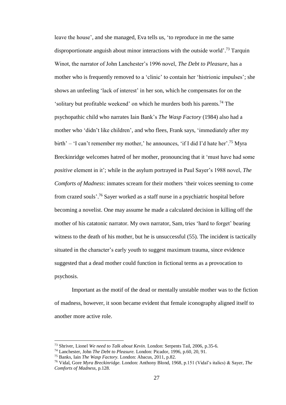leave the house', and she managed, Eva tells us, 'to reproduce in me the same disproportionate anguish about minor interactions with the outside world'.<sup>73</sup> Tarquin Winot, the narrator of John Lanchester's 1996 novel, *The Debt to Pleasure*, has a mother who is frequently removed to a 'clinic' to contain her 'histrionic impulses'; she shows an unfeeling 'lack of interest' in her son, which he compensates for on the 'solitary but profitable weekend' on which he murders both his parents.<sup>74</sup> The psychopathic child who narrates Iain Bank's *The Wasp Factory* (1984) also had a mother who 'didn't like children', and who flees, Frank says, 'immediately after my birth' – 'I can't remember my mother,' he announces, 'if I did I'd hate her'.<sup>75</sup> Myra Breckinridge welcomes hatred of her mother, pronouncing that it 'must have had some *positive* element in it'; while in the asylum portrayed in Paul Sayer's 1988 novel, *The Comforts of Madness*: inmates scream for their mothers 'their voices seeming to come from crazed souls'. <sup>76</sup> Sayer worked as a staff nurse in a psychiatric hospital before becoming a novelist. One may assume he made a calculated decision in killing off the mother of his catatonic narrator. My own narrator, Sam, tries 'hard to forget' bearing witness to the death of his mother, but he is unsuccessful (55). The incident is tactically situated in the character's early youth to suggest maximum trauma, since evidence suggested that a dead mother could function in fictional terms as a provocation to psychosis.

Important as the motif of the dead or mentally unstable mother was to the fiction of madness, however, it soon became evident that female iconography aligned itself to another more active role.

<sup>73</sup> Shriver, Lionel *We need to Talk about Kevin.* London: Serpents Tail, 2006, p.35-6.

<sup>74</sup> Lanchester, John *The Debt to Pleasure.* London: Picador, 1996, p.60, 20, 91.

<sup>75</sup> Banks, Iain *The Wasp Factory.* London: Abacus, 2011, p.82.

<sup>76</sup> Vidal, Gore *Myra Breckinridge.* London: Anthony Blond, 1968, p.151 (Vidal's italics) & Sayer, *The Comforts of Madness*, p.128.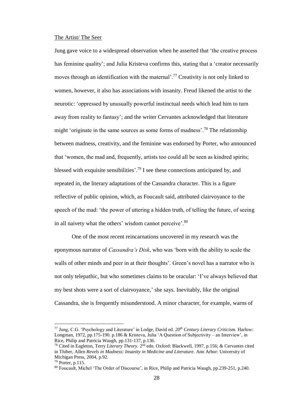#### The Artist/ The Seer

Jung gave voice to a widespread observation when he asserted that 'the creative process has feminine quality'; and Julia Kristeva confirms this, stating that a 'creator necessarily moves through an identification with the maternal'.<sup>77</sup> Creativity is not only linked to women, however, it also has associations with insanity. Freud likened the artist to the neurotic: 'oppressed by unusually powerful instinctual needs which lead him to turn away from reality to fantasy'; and the writer Cervantes acknowledged that literature might 'originate in the same sources as some forms of madness'.<sup>78</sup> The relationship between madness, creativity, and the feminine was endorsed by Porter, who announced that 'women, the mad and, frequently, artists too could all be seen as kindred spirits; blessed with exquisite sensibilities'.<sup>79</sup> I see these connections anticipated by, and repeated in, the literary adaptations of the Cassandra character. This is a figure reflective of public opinion, which, as Foucault said, attributed clairvoyance to the speech of the mad: 'the power of uttering a hidden truth, of telling the future, of seeing in all naivety what the others' wisdom cannot perceive'.<sup>80</sup>

One of the most recent reincarnations uncovered in my research was the eponymous narrator of *Cassandra's Disk*, who was 'born with the ability to scale the walls of other minds and peer in at their thoughts'. Green's novel has a narrator who is not only telepathic, but who sometimes claims to be oracular: 'I've always believed that my best shots were a sort of clairvoyance,' she says. Inevitably, like the original Cassandra, she is frequently misunderstood. A minor character, for example, warns of

<sup>77</sup> Jung, C.G. 'Psychology and Literature' in Lodge, David ed. *20th Century Literary Criticism.* Harlow: Longman, 1972, pp.175-190. p.186 & Kristeva, Julia 'A Question of Subjectivity – an Interview', in Rice, Philip and Patricia Waugh, pp.131-137, p.136.

<sup>&</sup>lt;sup>78</sup> Cited in Eagleton, Terry *Literary Theory*. 2<sup>nd</sup> edn. Oxford: Blackwell, 1997, p.156; & Cervantes cited in Thiher, Allen *Revels in Madness: Insanity in Medicine and Literature.* Ann Arbor: University of Michigan Press, 2004, p.92.

<sup>79</sup> Porter, p.115.

<sup>80</sup> Foucault, Michel 'The Order of Discourse', in Rice, Philip and Patricia Waugh, pp.239-251, p.240.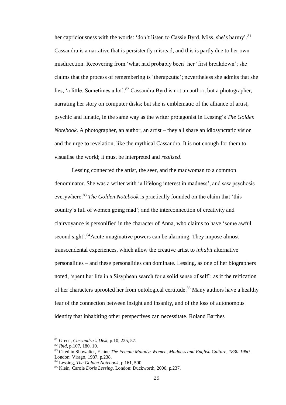her capriciousness with the words: 'don't listen to Cassie Byrd, Miss, she's barmy'.<sup>81</sup> Cassandra is a narrative that is persistently misread, and this is partly due to her own misdirection. Recovering from 'what had probably been' her 'first breakdown'; she claims that the process of remembering is 'therapeutic'; nevertheless she admits that she lies, 'a little. Sometimes a lot'.<sup>82</sup> Cassandra Byrd is not an author, but a photographer, narrating her story on computer disks; but she is emblematic of the alliance of artist, psychic and lunatic, in the same way as the writer protagonist in Lessing's *The Golden Notebook*. A photographer, an author, an artist – they all share an idiosyncratic vision and the urge to revelation, like the mythical Cassandra. It is not enough for them to visualise the world; it must be interpreted and *realized*.

Lessing connected the artist, the seer, and the madwoman to a common denominator. She was a writer with 'a lifelong interest in madness', and saw psychosis everywhere.<sup>83</sup> *The Golden Notebook* is practically founded on the claim that 'this country's full of women going mad'; and the interconnection of creativity and clairvoyance is personified in the character of Anna, who claims to have 'some awful second sight'.<sup>84</sup>Acute imaginative powers can be alarming. They impose almost transcendental experiences, which allow the creative artist to *inhabit* alternative personalities – and these personalities can dominate. Lessing, as one of her biographers noted, 'spent her life in a Sisyphean search for a solid sense of self'; as if the reification of her characters uprooted her from ontological certitude.<sup>85</sup> Many authors have a healthy fear of the connection between insight and insanity, and of the loss of autonomous identity that inhabiting other perspectives can necessitate. Roland Barthes

<sup>81</sup> Green, *Cassandra's Disk*, p.10, 225, 57.

<sup>82</sup> *Ibid*, p.107, 180, 10.

<sup>83</sup> Cited in Showalter, Elaine *The Female Malady: Women, Madness and English Culture, 1830-1980.*  London: Virago, 1987, p.238.

<sup>84</sup> Lessing, *The Golden Notebook*, p.161, 500.

<sup>85</sup> Klein, Carole *Doris Lessing.* London: Duckworth, 2000, p.237.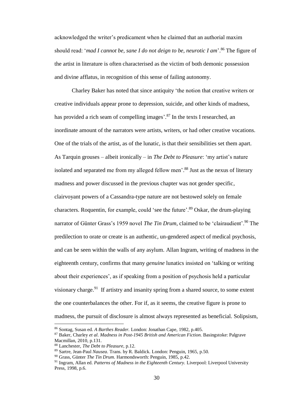acknowledged the writer's predicament when he claimed that an authorial maxim should read: '*mad I cannot be, sane I do not deign to be, neurotic I am*'. <sup>86</sup> The figure of the artist in literature is often characterised as the victim of both demonic possession and divine afflatus, in recognition of this sense of failing autonomy.

Charley Baker has noted that since antiquity 'the notion that creative writers or creative individuals appear prone to depression, suicide, and other kinds of madness, has provided a rich seam of compelling images'.<sup>87</sup> In the texts I researched, an inordinate amount of the narrators were artists, writers, or had other creative vocations. One of the trials of the artist, as of the lunatic, is that their sensibilities set them apart. As Tarquin grouses – albeit ironically – in *The Debt to Pleasure*: 'my artist's nature isolated and separated me from my alleged fellow men'.<sup>88</sup> Just as the nexus of literary madness and power discussed in the previous chapter was not gender specific, clairvoyant powers of a Cassandra-type nature are not bestowed solely on female characters. Roquentin, for example, could 'see the future'.<sup>89</sup> Oskar, the drum-playing narrator of Günter Grass's 1959 novel *The Tin Drum*, claimed to be 'clairaudient'.<sup>90</sup> The predilection to orate or create is an authentic, un-gendered aspect of medical psychosis, and can be seen within the walls of any asylum. Allan Ingram, writing of madness in the eighteenth century, confirms that many *genuine* lunatics insisted on 'talking or writing about their experiences', as if speaking from a position of psychosis held a particular visionary charge.<sup>91</sup> If artistry and insanity spring from a shared source, to some extent the one counterbalances the other. For if, as it seems, the creative figure is prone to madness, the pursuit of disclosure is almost always represented as beneficial. Solipsism,

<sup>86</sup> Sontag, Susan ed. *A Barthes Reader.* London: Jonathan Cape, 1982, p.405.

<sup>87</sup> Baker, Charley *et al*. *Madness in Post-1945 British and American Fiction.* Basingstoke: Palgrave Macmillan, 2010, p.131.

<sup>88</sup> Lanchester, *The Debt to Pleasure*, p.12.

<sup>89</sup> Sartre, Jean-Paul *Nausea*. Trans. by R. Baldick. London: Penguin, 1965, p.50.

<sup>90</sup> Grass, Günter *The Tin Drum.* Harmondsworth: Penguin, 1985, p.42.

<sup>&</sup>lt;sup>91</sup> Ingram, Allan ed. *Patterns of Madness in the Eighteenth Century*. Liverpool: Liverpool University Press, 1998, p.6.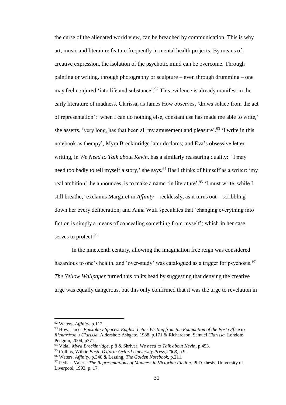the curse of the alienated world view, can be breached by communication. This is why art, music and literature feature frequently in mental health projects. By means of creative expression, the isolation of the psychotic mind can be overcome. Through painting or writing, through photography or sculpture – even through drumming – one may feel conjured 'into life and substance'.<sup>92</sup> This evidence is already manifest in the early literature of madness. Clarissa, as James How observes, 'draws solace from the act of representation': 'when I can do nothing else, constant use has made me able to write,' she asserts, 'very long, has that been all my amusement and pleasure'.<sup>93</sup> 'I write in this notebook as therapy', Myra Breckinridge later declares; and Eva's obsessive letterwriting, in *We Need to Talk about Kevin,* has a similarly reassuring quality: 'I may need too badly to tell myself a story,' she says.<sup>94</sup> Basil thinks of himself as a writer: 'my real ambition', he announces, is to make a name 'in literature'.<sup>95</sup> 'I must write, while I still breathe,' exclaims Margaret in *Affinity –* recklessly, as it turns out – scribbling down her every deliberation; and Anna Wulf speculates that 'changing everything into fiction is simply a means of concealing something from myself'; which in her case serves to protect.<sup>96</sup>

In the nineteenth century, allowing the imagination free reign was considered hazardous to one's health, and 'over-study' was catalogued as a trigger for psychosis.<sup>97</sup> *The Yellow Wallpaper* turned this on its head by suggesting that denying the creative urge was equally dangerous, but this only confirmed that it was the urge to revelation in

<sup>92</sup> Waters, *Affinity*, p.112.

<sup>93</sup> How, James *Epistolary Spaces: English Letter Writing from the Foundation of the Post Office to Richardson's Clarissa.* Aldershot: Ashgate, 1988, p.171 & Richardson, Samuel *Clarissa.* London: Penguin, 2004, p371.

<sup>94</sup> Vidal, *Myra Breckinridge*, p.8 & Shriver, *We need to Talk about Kevin,* p.453.

<sup>95</sup> Collins, Wilkie *Basil. Oxford: Oxford University Press, 2008,* p.9.

<sup>96</sup> Waters, *Affinity,* p.348 & Lessing, *The Golden Notebook*, p.211.

<sup>97</sup> Pedlar, Valerie *The Representations of Madness in Victorian Fiction*. PhD. thesis, University of Liverpool, 1993, p. 17.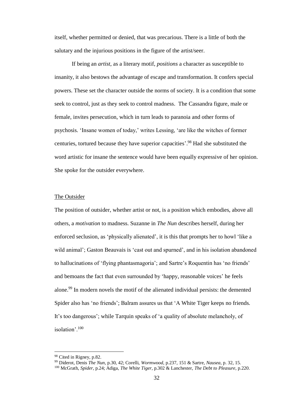itself, whether permitted or denied, that was precarious. There is a little of both the salutary and the injurious positions in the figure of the artist/seer.

If being an *artist*, as a literary motif, *positions* a character as susceptible to insanity, it also bestows the advantage of escape and transformation. It confers special powers. These set the character outside the norms of society. It is a condition that some seek to control, just as they seek to control madness. The Cassandra figure, male or female, invites persecution, which in turn leads to paranoia and other forms of psychosis. 'Insane women of today,' writes Lessing, 'are like the witches of former centuries, tortured because they have superior capacities'. <sup>98</sup> Had she substituted the word artistic for insane the sentence would have been equally expressive of her opinion. She spoke for the outsider everywhere.

#### The Outsider

The position of outsider, whether artist or not, is a position which embodies, above all others, a *motivation* to madness. Suzanne in *The Nun* describes herself, during her enforced seclusion, as 'physically alienated', it is this that prompts her to howl 'like a wild animal'; Gaston Beauvais is 'cast out and spurned', and in his isolation abandoned to hallucinations of 'flying phantasmagoria'; and Sartre's Roquentin has 'no friends' and bemoans the fact that even surrounded by 'happy, reasonable voices' he feels alone.<sup>99</sup> In modern novels the motif of the alienated individual persists: the demented Spider also has 'no friends'; Balram assures us that 'A White Tiger keeps no friends. It's too dangerous'; while Tarquin speaks of 'a quality of absolute melancholy, of isolation'.<sup>100</sup>

<sup>98</sup> Cited in Rigney, p.82.

<sup>99</sup> Diderot, Denis *The Nun*, p.30, 42; Corelli, *Wormwood*, p.237, 151 & Sartre, *Nausea*, p. 32, 15.

<sup>100</sup> McGrath, *Spider*, p.24; Adiga, *The White Tiger*, p.302 & Lanchester, *The Debt to Pleasure,* p.220.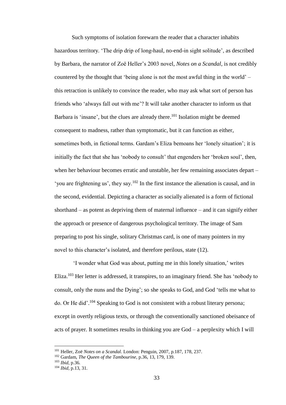Such symptoms of isolation forewarn the reader that a character inhabits hazardous territory. 'The drip drip of long-haul, no-end-in sight solitude', as described by Barbara, the narrator of Zoë Heller's 2003 novel, *Notes on a Scandal*, is not credibly countered by the thought that 'being alone is not the most awful thing in the world' – this retraction is unlikely to convince the reader, who may ask what sort of person has friends who 'always fall out with me'? It will take another character to inform us that Barbara is 'insane', but the clues are already there.<sup>101</sup> Isolation might be deemed consequent to madness, rather than symptomatic, but it can function as either, sometimes both, in fictional terms. Gardam's Eliza bemoans her 'lonely situation'; it is initially the fact that she has 'nobody to consult' that engenders her 'broken soul', then, when her behaviour becomes erratic and unstable, her few remaining associates depart – 'you are frightening us', they say.<sup>102</sup> In the first instance the alienation is causal, and in the second, evidential. Depicting a character as socially alienated is a form of fictional shorthand – as potent as depriving them of maternal influence – and it can signify either the approach or presence of dangerous psychological territory. The image of Sam preparing to post his single, solitary Christmas card, is one of many pointers in my novel to this character's isolated, and therefore perilous, state (12).

'I wonder what God was about, putting me in this lonely situation,' writes Eliza.<sup>103</sup> Her letter is addressed, it transpires, to an imaginary friend. She has 'nobody to consult, only the nuns and the Dying'; so she speaks to God, and God 'tells me what to do. Or He did'. <sup>104</sup> Speaking to God is not consistent with a robust literary persona; except in overtly religious texts, or through the conventionally sanctioned obeisance of acts of prayer. It sometimes results in thinking you are God – a perplexity which I will

<sup>101</sup> Heller, Zoë *Notes on a Scandal.* London: Penguin, 2007, p.187, 178, 237.

<sup>102</sup> Gardam, *The Queen of the Tambourine,* p.36, 13, 179, 139.

<sup>103</sup> *Ibid*, p.36.

<sup>104</sup> *Ibid,* p.13, 31.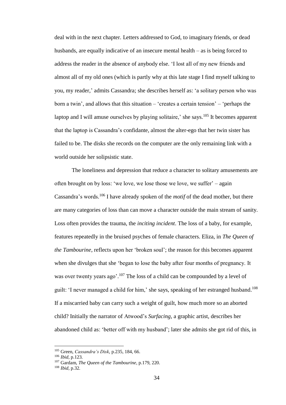deal with in the next chapter. Letters addressed to God, to imaginary friends, or dead husbands, are equally indicative of an insecure mental health – as is being forced to address the reader in the absence of anybody else. 'I lost all of my new friends and almost all of my old ones (which is partly why at this late stage I find myself talking to you, my reader,' admits Cassandra; she describes herself as: 'a solitary person who was born a twin', and allows that this situation – 'creates a certain tension' – 'perhaps the laptop and I will amuse ourselves by playing solitaire,' she says.<sup>105</sup> It becomes apparent that the laptop is Cassandra's confidante, almost the alter-ego that her twin sister has failed to be. The disks she records on the computer are the only remaining link with a world outside her solipsistic state.

The loneliness and depression that reduce a character to solitary amusements are often brought on by loss: 'we love, we lose those we love, we suffer' – again Cassandra's words. <sup>106</sup> I have already spoken of the *motif* of the dead mother, but there are many categories of loss than can move a character outside the main stream of sanity. Loss often provides the trauma, the *inciting incident*. The loss of a baby, for example, features repeatedly in the bruised psyches of female characters. Eliza, in *The Queen of the Tambourine*, reflects upon her 'broken soul'; the reason for this becomes apparent when she divulges that she 'began to lose the baby after four months of pregnancy. It was over twenty years ago'.<sup>107</sup> The loss of a child can be compounded by a level of guilt: 'I never managed a child for him,' she says, speaking of her estranged husband.<sup>108</sup> If a miscarried baby can carry such a weight of guilt, how much more so an aborted child? Initially the narrator of Atwood's *Surfacing*, a graphic artist, describes her abandoned child as: 'better off with my husband'; later she admits she got rid of this, in

<sup>105</sup> Green, *Cassandra's Disk*, p.235, 184, 66.

<sup>106</sup> *Ibid,* p.123.

<sup>107</sup> Gardam, *The Queen of the Tambourine,* p.179, 220.

<sup>108</sup> *Ibid,* p.32.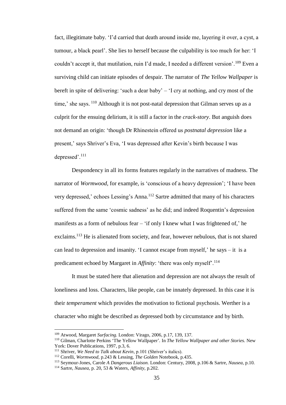fact, illegitimate baby. 'I'd carried that death around inside me, layering it over, a cyst, a tumour, a black pearl'. She lies to herself because the culpability is too much for her: 'I couldn't accept it, that mutilation, ruin I'd made, I needed a different version'.<sup>109</sup> Even a surviving child can initiate episodes of despair. The narrator of *The Yellow Wallpaper* is bereft in spite of delivering: 'such a dear baby' – 'I cry at nothing, and cry most of the time,' she says. <sup>110</sup> Although it is not post-natal depression that Gilman serves up as a culprit for the ensuing delirium, it is still a factor in the *crack*-*story*. But anguish does not demand an origin: 'though Dr Rhinestein offered us *postnatal depression* like a present,' says Shriver's Eva, 'I was depressed after Kevin's birth because I was depressed'.<sup>111</sup>

Despondency in all its forms features regularly in the narratives of madness. The narrator of *Wormwood,* for example, is 'conscious of a heavy depression'; 'I have been very depressed,' echoes Lessing's Anna. <sup>112</sup> Sartre admitted that many of his characters suffered from the same 'cosmic sadness' as he did; and indeed Roquentin's depression manifests as a form of nebulous fear – 'if only I knew what I was frightened of,' he exclaims.<sup>113</sup> He is alienated from society, and fear, however nebulous, that is not shared can lead to depression and insanity. 'I cannot escape from myself,' he says – it is a predicament echoed by Margaret in *Affinity*: 'there was only myself'.<sup>114</sup>

It must be stated here that alienation and depression are not always the result of loneliness and loss. Characters, like people, can be innately depressed. In this case it is their *temperament* which provides the motivation to fictional psychosis. Werther is a character who might be described as depressed both by circumstance and by birth.

<sup>109</sup> Atwood, Margaret *Surfacing.* London: Virago, 2006*,* p.17, 139, 137.

<sup>110</sup> Gilman, Charlotte Perkins 'The Yellow Wallpaper'*.* In *The Yellow Wallpaper and other Stories.* New York: Dover Publications, 1997*,* p.3, 6.

<sup>111</sup> Shriver, *We Need to Talk about Kevin*, p.101 (Shriver's italics).

<sup>112</sup> Corelli, *Wormwood*, p.243 & Lessing, *The Golden* Notebook, p.435.

<sup>113</sup> Seymour-Jones, Carole *A Dangerous Liaison.* London: Century, 2008, p.106 & Sartre, *Nausea*, p.10.

<sup>114</sup> Sartre, *Nausea*, p. 20, 53 & Waters, *Affinity,* p.202.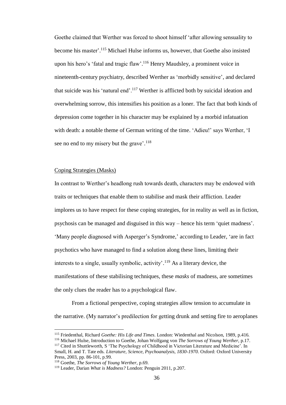Goethe claimed that Werther was forced to shoot himself 'after allowing sensuality to become his master'. <sup>115</sup> Michael Hulse informs us, however, that Goethe also insisted upon his hero's 'fatal and tragic flaw'. <sup>116</sup> Henry Maudsley, a prominent voice in nineteenth-century psychiatry, described Werther as 'morbidly sensitive', and declared that suicide was his 'natural end'.<sup>117</sup> Werther is afflicted both by suicidal ideation and overwhelming sorrow, this intensifies his position as a loner. The fact that both kinds of depression come together in his character may be explained by a morbid infatuation with death: a notable theme of German writing of the time. 'Adieu!' says Werther, 'I see no end to my misery but the grave'.<sup>118</sup>

#### Coping Strategies (Masks)

In contrast to Werther's headlong rush towards death, characters may be endowed with traits or techniques that enable them to stabilise and mask their affliction. Leader implores us to have respect for these coping strategies, for in reality as well as in fiction, psychosis can be managed and disguised in this way – hence his term 'quiet madness'. 'Many people diagnosed with Asperger's Syndrome,' according to Leader, 'are in fact psychotics who have managed to find a solution along these lines, limiting their interests to a single, usually symbolic, activity'.<sup>119</sup> As a literary device, the manifestations of these stabilising techniques, these *masks* of madness, are sometimes the only clues the reader has to a psychological flaw.

From a fictional perspective, coping strategies allow tension to accumulate in the narrative. (My narrator's predilection for getting drunk and setting fire to aeroplanes

<sup>115</sup> Friedenthal, Richard *Goethe: His Life and Times*. London: Wiedenthal and Nicolson, 1989, p.416.

<sup>116</sup> Michael Hulse, Introduction to Goethe, Johan Wolfgang von *The Sorrows of Young Werther*, p.17.

<sup>&</sup>lt;sup>117</sup> Cited in Shuttleworth, S 'The Psychology of Childhood in Victorian Literature and Medicine'. In Small, H. and T. Tate eds. *Literature, Science, Psychoanalysis, 1830-1970*. Oxford: Oxford University Press, 2003, pp. 86-101, p.99.

<sup>118</sup> Goethe, *The Sorrows of Young Werther*, p.69.

<sup>119</sup> Leader, Darian *What is Madness?* London: Penguin 2011, p.207.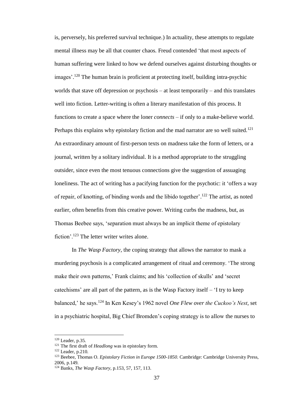is, perversely, his preferred survival technique.) In actuality, these attempts to regulate mental illness may be all that counter chaos. Freud contended 'that most aspects of human suffering were linked to how we defend ourselves against disturbing thoughts or images'. <sup>120</sup> The human brain is proficient at protecting itself, building intra-psychic worlds that stave off depression or psychosis – at least temporarily – and this translates well into fiction. Letter-writing is often a literary manifestation of this process. It functions to create a space where the loner *connects* – if only to a make-believe world. Perhaps this explains why epistolary fiction and the mad narrator are so well suited.<sup>121</sup> An extraordinary amount of first-person texts on madness take the form of letters, or a journal, written by a solitary individual. It is a method appropriate to the struggling outsider, since even the most tenuous connections give the suggestion of assuaging loneliness. The act of writing has a pacifying function for the psychotic: it 'offers a way of repair, of knotting, of binding words and the libido together'.<sup>122</sup> The artist, as noted earlier, often benefits from this creative power. Writing curbs the madness, but, as Thomas Beebee says, 'separation must always be an implicit theme of epistolary fiction'.<sup>123</sup> The letter writer writes alone.

In *The Wasp Factory*, the coping strategy that allows the narrator to mask a murdering psychosis is a complicated arrangement of ritual and ceremony. 'The strong make their own patterns,' Frank claims; and his 'collection of skulls' and 'secret catechisms' are all part of the pattern, as is the Wasp Factory itself – 'I try to keep balanced,' he says.<sup>124</sup> In Ken Kesey's 1962 novel *One Flew over the Cuckoo's Nest*, set in a psychiatric hospital, Big Chief Bromden's coping strategy is to allow the nurses to

<sup>120</sup> Leader, p.35.

<sup>&</sup>lt;sup>121</sup> The first draft of *Headlong* was in epistolary form.

<sup>122</sup> Leader, p.210.

<sup>123</sup> Beebee, Thomas O. *Epistolary Fiction in Europe 1500-1850.* Cambridge: Cambridge University Press, 2006, p.149.

<sup>124</sup> Banks, *The Wasp Factory,* p.153, 57, 157, 113.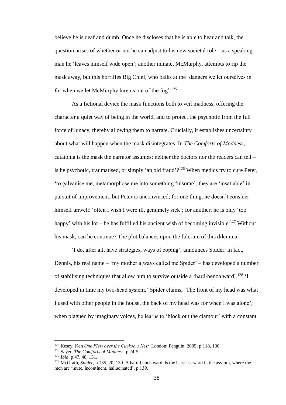believe he is deaf and dumb. Once he discloses that he is able to hear and talk, the question arises of whether or not he can adjust to his new societal role – as a speaking man he 'leaves himself wide open'; another inmate, McMurphy, attempts to rip the mask away, but this horrifies Big Chief, who balks at the 'dangers we let ourselves in for when we let McMurphy lure us out of the fog'.<sup>125</sup>

As a fictional device the mask functions both to veil madness, offering the character a quiet way of being in the world, and to protect the psychotic from the full force of lunacy, thereby allowing them to narrate. Crucially, it establishes uncertainty about what will happen when the mask disintegrates. In *The Comforts of Madness*, catatonia is the mask the narrator assumes; neither the doctors nor the readers can tell – is he psychotic, traumatised, or simply 'an old fraud'?<sup>126</sup> When medics try to cure Peter, 'to galvanise me, metamorphose me into something fulsome', they are 'insatiable' in pursuit of improvement, but Peter is unconvinced; for one thing, he doesn't consider himself unwell: 'often I wish I were ill, genuinely sick'; for another, he is only 'too happy' with his lot  $-$  he has fulfilled his ancient wish of becoming invisible.<sup>127</sup> Without his mask, can he continue? The plot balances upon the fulcrum of this dilemma.

'I do, after all, have strategies, ways of coping', announces Spider; in fact, Dennis, his real name – 'my mother always called me Spider' – has developed a number of stabilising techniques that allow him to survive outside a 'hard-bench ward'.<sup>128</sup> 'I developed in time my two-head system,' Spider claims, 'The front of my head was what I used with other people in the house, the back of my head was for when I was alone'; when plagued by imaginary voices, he learns to 'block out the clamour' with a constant

<sup>125</sup> Kesey, Ken *One Flew over the Cuckoo's Nest.* London: Penguin, 2005, p.118, 130.

<sup>126</sup> Sayer, *The Comforts of Madness*, p.24-5.

<sup>127</sup> *Ibid*, p.47, 48, 131.

<sup>128</sup> McGrath, *Spider*, p.135, 20, 139. A hard-bench ward, is the harshest ward in the asylum, where the men are 'mute, incontinent, hallucinated', p.139.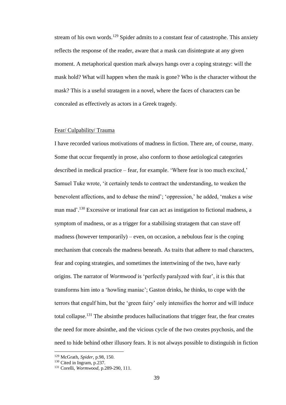stream of his own words.<sup>129</sup> Spider admits to a constant fear of catastrophe. This anxiety reflects the response of the reader, aware that a mask can disintegrate at any given moment. A metaphorical question mark always hangs over a coping strategy: will the mask hold? What will happen when the mask is gone? Who is the character without the mask? This is a useful stratagem in a novel, where the faces of characters can be concealed as effectively as actors in a Greek tragedy.

## Fear/ Culpability/ Trauma

I have recorded various motivations of madness in fiction. There are, of course, many. Some that occur frequently in prose, also conform to those aetiological categories described in medical practice – fear, for example. 'Where fear is too much excited,' Samuel Tuke wrote, 'it certainly tends to contract the understanding, to weaken the benevolent affections, and to debase the mind'; 'oppression,' he added, 'makes a *wise* man mad'.<sup>130</sup> Excessive or irrational fear can act as instigation to fictional madness, a symptom of madness, or as a trigger for a stabilising stratagem that can stave off madness (however temporarily) – even, on occasion, a nebulous fear is the coping mechanism that conceals the madness beneath. As traits that adhere to mad characters, fear and coping strategies, and sometimes the intertwining of the two, have early origins. The narrator of *Wormwood* is 'perfectly paralyzed with fear', it is this that transforms him into a 'howling maniac'; Gaston drinks, he thinks, to cope with the terrors that engulf him, but the 'green fairy' only intensifies the horror and will induce total collapse.<sup>131</sup> The absinthe produces hallucinations that trigger fear, the fear creates the need for more absinthe, and the vicious cycle of the two creates psychosis, and the need to hide behind other illusory fears. It is not always possible to distinguish in fiction

<sup>129</sup> McGrath, *Spider*, p.98, 150.

<sup>&</sup>lt;sup>130</sup> Cited in Ingram, p.237.

<sup>131</sup> Corelli, *Wormwood*, p.289-290, 111.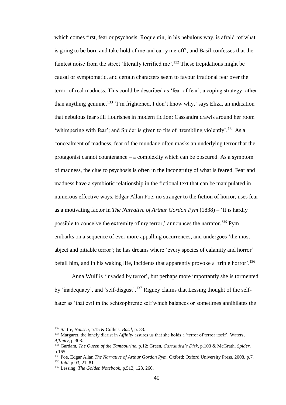which comes first, fear or psychosis. Roquentin, in his nebulous way, is afraid 'of what is going to be born and take hold of me and carry me off'; and Basil confesses that the faintest noise from the street 'literally terrified me'.<sup>132</sup> These trepidations might be causal or symptomatic, and certain characters seem to favour irrational fear over the terror of real madness. This could be described as 'fear of fear', a coping strategy rather than anything genuine.<sup>133</sup> 'I'm frightened. I don't know why,' says Eliza, an indication that nebulous fear still flourishes in modern fiction; Cassandra crawls around her room 'whimpering with fear'; and Spider is given to fits of 'trembling violently'.<sup>134</sup> As a concealment of madness, fear of the mundane often masks an underlying terror that the protagonist cannot countenance – a complexity which can be obscured. As a symptom of madness, the clue to psychosis is often in the incongruity of what is feared. Fear and madness have a symbiotic relationship in the fictional text that can be manipulated in numerous effective ways. Edgar Allan Poe, no stranger to the fiction of horror, uses fear as a motivating factor in *The Narrative of Arthur Gordon Pym* (1838) – 'It is hardly possible to conceive the extremity of my terror,' announces the narrator*. <sup>135</sup>* Pym embarks on a sequence of ever more appalling occurrences, and undergoes 'the most abject and pitiable terror'; he has dreams where 'every species of calamity and horror' befall him, and in his waking life, incidents that apparently provoke a 'triple horror'.<sup>136</sup>

Anna Wulf is 'invaded by terror', but perhaps more importantly she is tormented by 'inadequacy', and 'self-disgust'.<sup>137</sup> Rigney claims that Lessing thought of the selfhater as 'that evil in the schizophrenic self which balances or sometimes annihilates the

<sup>132</sup> Sartre, *Nausea*, p.15 & Collins, *Basil*, p. 83.

<sup>133</sup> Margaret, the lonely diarist in *Affinity* assures us that she holds a 'terror of terror itself'. Waters, *Affinity*, p.308.

<sup>134</sup> Gardam, *The Queen of the Tambourine,* p.12; Green, *Cassandra's Disk*, p.103 & McGrath, *Spider*, p.165.

<sup>135</sup> Poe, Edgar Allan *The Narrative of Arthur Gordon Pym.* Oxford: Oxford University Press, 2008, p.7. <sup>136</sup> *Ibid*, p.93, 21, 81.

<sup>137</sup> Lessing, *The Golden Notebook*, p.513, 123, 260.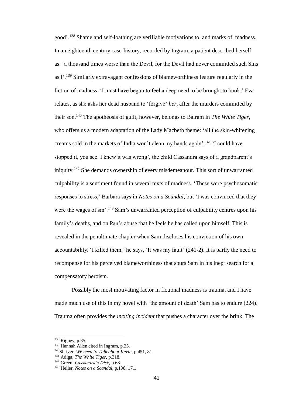good'.<sup>138</sup> Shame and self-loathing are verifiable motivations to, and marks of, madness. In an eighteenth century case-history, recorded by Ingram, a patient described herself as: 'a thousand times worse than the Devil, for the Devil had never committed such Sins as I'.<sup>139</sup> Similarly extravagant confessions of blameworthiness feature regularly in the fiction of madness. 'I must have begun to feel a deep need to be brought to book,' Eva relates, as she asks her dead husband to 'forgive' *her*, after the murders committed by their son.<sup>140</sup> The apotheosis of guilt, however, belongs to Balram in *The White Tiger*, who offers us a modern adaptation of the Lady Macbeth theme: 'all the skin-whitening creams sold in the markets of India won't clean my hands again'.<sup>141</sup> 'I could have stopped it, you see. I knew it was wrong', the child Cassandra says of a grandparent's iniquity.<sup>142</sup> She demands ownership of every misdemeanour. This sort of unwarranted culpability is a sentiment found in several texts of madness. 'These were psychosomatic responses to stress,' Barbara says in *Notes on a Scandal*, but 'I was convinced that they were the wages of sin'.<sup>143</sup> Sam's unwarranted perception of culpability centres upon his family's deaths, and on Pan's abuse that he feels he has called upon himself. This is revealed in the penultimate chapter when Sam discloses his conviction of his own accountability. 'I killed them,' he says, 'It was my fault' (241-2). It is partly the need to recompense for his perceived blameworthiness that spurs Sam in his inept search for a compensatory heroism.

Possibly the most motivating factor in fictional madness is trauma, and I have made much use of this in my novel with 'the amount of death' Sam has to endure (224). Trauma often provides the *inciting incident* that pushes a character over the brink. The

<sup>138</sup> Rigney, p.85.

<sup>139</sup> Hannah Allen cited in Ingram, p.35.

<sup>140</sup>Shriver, *We need to Talk about Kevin*, p.451, 81.

<sup>141</sup> Adiga, *The White Tiger*, p.318.

<sup>142</sup> Green, *Cassandra's Disk*, p.68.

<sup>143</sup> Heller, *Notes on a Scandal,* p.198, 171.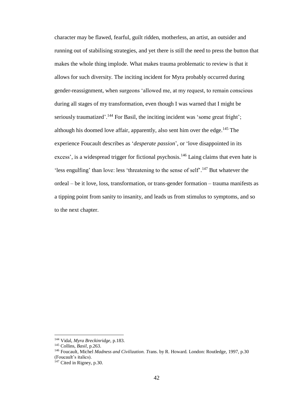character may be flawed, fearful, guilt ridden, motherless, an artist, an outsider and running out of stabilising strategies, and yet there is still the need to press the button that makes the whole thing implode. What makes trauma problematic to review is that it allows for such diversity. The inciting incident for Myra probably occurred during gender-reassignment, when surgeons 'allowed me, at my request, to remain conscious during all stages of my transformation, even though I was warned that I might be seriously traumatized'.<sup>144</sup> For Basil, the inciting incident was 'some great fright'; although his doomed love affair, apparently, also sent him over the edge.<sup>145</sup> The experience Foucault describes as '*desperate passion*', or 'love disappointed in its excess', is a widespread trigger for fictional psychosis.<sup>146</sup> Laing claims that even hate is 'less engulfing' than love: less 'threatening to the sense of self'.<sup>147</sup> But whatever the ordeal – be it love, loss, transformation, or trans-gender formation – trauma manifests as a tipping point from sanity to insanity, and leads us from stimulus to symptoms, and so to the next chapter.

<sup>144</sup> Vidal, *Myra Breckinridge,* p.183.

<sup>145</sup> Collins, *Basil*, p.263.

<sup>146</sup> Foucault, Michel *Madness and Civilization. T*rans. by R. Howard. London: Routledge, 1997, p.30 (Foucault's italics).

 $147$  Cited in Rigney, p.30.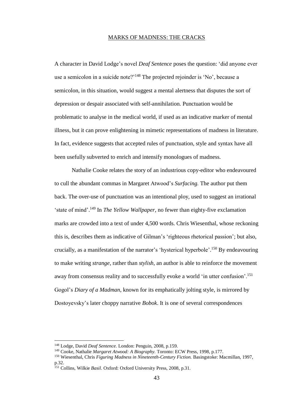## MARKS OF MADNESS: THE CRACKS

A character in David Lodge's novel *Deaf Sentence* poses the question: 'did anyone ever use a semicolon in a suicide note?'<sup>148</sup> The projected rejoinder is 'No', because a semicolon, in this situation, would suggest a mental alertness that disputes the sort of depression or despair associated with self-annihilation. Punctuation would be problematic to analyse in the medical world, if used as an indicative marker of mental illness, but it can prove enlightening in mimetic representations of madness in literature. In fact, evidence suggests that accepted rules of punctuation, style and syntax have all been usefully subverted to enrich and intensify monologues of madness.

Nathalie Cooke relates the story of an industrious copy-editor who endeavoured to cull the abundant commas in Margaret Atwood's *Surfacing.* The author put them back. The over-use of punctuation was an intentional ploy, used to suggest an irrational 'state of mind'. <sup>149</sup> In *The Yellow Wallpaper*, no fewer than eighty-five exclamation marks are crowded into a text of under 4,500 words. Chris Wiesenthal, whose reckoning this is, describes them as indicative of Gilman's 'righteous rhetorical passion'; but also, crucially, as a manifestation of the narrator's 'hysterical hyperbole'. <sup>150</sup> By endeavouring to make writing *strange*, rather than *stylish*, an author is able to reinforce the movement away from consensus reality and to successfully evoke a world 'in utter confusion'.<sup>151</sup> Gogol's *Diary of a Madman*, known for its emphatically jolting style, is mirrored by Dostoyevsky's later choppy narrative *Bobok*. It is one of several correspondences

<sup>148</sup> Lodge, David *Deaf Sentence.* London: Penguin, 2008, p.159.

<sup>149</sup> Cooke, Nathalie *Margaret Atwood: A Biography.* Toronto: ECW Press, 1998, p.177.

<sup>150</sup> Wiesenthal, Chris *Figuring Madness in Nineteenth-Century Fiction.* Basingstoke: Macmillan, 1997, p.32.

<sup>151</sup> Collins, Wilkie *Basil*. Oxford: Oxford University Press, 2008*,* p.31.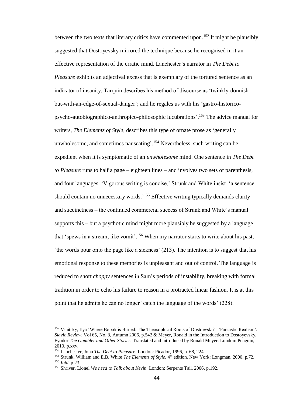between the two texts that literary critics have commented upon.<sup>152</sup> It might be plausibly suggested that Dostoyevsky mirrored the technique because he recognised in it an effective representation of the erratic mind. Lanchester's narrator in *The Debt to Pleasure* exhibits an adjectival excess that is exemplary of the tortured sentence as an indicator of insanity. Tarquin describes his method of discourse as 'twinkly-donnishbut-with-an-edge-of-sexual-danger'; and he regales us with his 'gastro-historicopsycho-autobiographico-anthropico-philosophic lucubrations'. <sup>153</sup> The advice manual for writers, *The Elements of Style,* describes this type of ornate prose as 'generally unwholesome, and sometimes nauseating'. <sup>154</sup> Nevertheless, such writing can be expedient when it is symptomatic of an *unwholesome* mind. One sentence in *The Debt to Pleasure* runs to half a page – eighteen lines – and involves two sets of parenthesis, and four languages. 'Vigorous writing is concise,' Strunk and White insist, 'a sentence should contain no unnecessary words.<sup>155</sup> Effective writing typically demands clarity and succinctness – the continued commercial success of Strunk and White's manual supports this – but a psychotic mind might more plausibly be suggested by a language that 'spews in a stream, like vomit'.<sup>156</sup> When my narrator starts to write about his past, 'the words pour onto the page like a sickness' (213). The intention is to suggest that his emotional response to these memories is unpleasant and out of control. The language is reduced to short *choppy* sentences in Sam's periods of instability, breaking with formal tradition in order to echo his failure to reason in a protracted linear fashion. It is at this point that he admits he can no longer 'catch the language of the words' (228).

<sup>152</sup> Vinitsky, Ilya 'Where Bobok is Buried: The Theosophical Roots of Dostoevskii's 'Fantastic Realism'. *Slavic Review*, Vol 65, No. 3, Autumn 2006, p.542 & Meyer, Ronald in the Introduction to Dostoyevsky, Fyodor *The Gambler and Other Stories.* Translated and introduced by Ronald Meyer. London: Penguin, 2010, p.xxv.

<sup>153</sup> Lanchester, John *The Debt to Pleasure.* London: Picador, 1996, p. 68, 224.

<sup>&</sup>lt;sup>154</sup> Strunk, William and E.B. White *The Elements of Style*, 4<sup>th</sup> edition. New York: Longman, 2000, p.72. <sup>155</sup> *Ibid*, p.23.

<sup>156</sup> Shriver, Lionel *We need to Talk about Kevin.* London: Serpents Tail, 2006, p.192.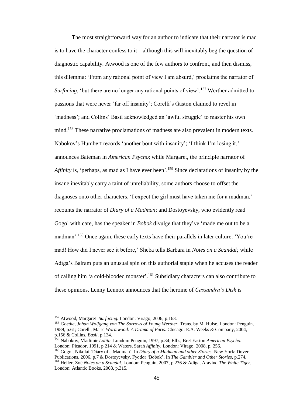The most straightforward way for an author to indicate that their narrator is mad is to have the character confess to it – although this will inevitably beg the question of diagnostic capability. Atwood is one of the few authors to confront, and then dismiss, this dilemma: 'From any rational point of view I am absurd,' proclaims the narrator of *Surfacing*, 'but there are no longer any rational points of view'.<sup>157</sup> Werther admitted to passions that were never 'far off insanity'; Corelli's Gaston claimed to revel in 'madness'; and Collins' Basil acknowledged an 'awful struggle' to master his own mind.<sup>158</sup> These narrative proclamations of madness are also prevalent in modern texts. Nabokov's Humbert records 'another bout with insanity'; 'I think I'm losing it,' announces Bateman in *American Psycho*; while Margaret, the principle narrator of Affinity is, 'perhaps, as mad as I have ever been'.<sup>159</sup> Since declarations of insanity by the insane inevitably carry a taint of unreliability, some authors choose to offset the diagnoses onto other characters. 'I expect the girl must have taken me for a madman,' recounts the narrator of *Diary of a Madman*; and Dostoyevsky, who evidently read Gogol with care, has the speaker in *Bobok* divulge that they've 'made me out to be a madman'.<sup>160</sup> Once again, these early texts have their parallels in later culture. 'You're mad! How did I never see it before,' Sheba tells Barbara in *Notes on a Scandal;* while Adiga's Balram puts an unusual spin on this authorial staple when he accuses the reader of calling him 'a cold-blooded monster'. <sup>161</sup> Subsidiary characters can also contribute to these opinions. Lenny Lennox announces that the heroine of *Cassandra's Disk* is

 $\overline{a}$ 

<sup>159</sup> Nabokov, Vladimir *Lolita.* London: Penguin, 1997, p.34; Ellis, Bret Easton *American Psycho.*  London: Picador, 1991, p.214 & Waters, Sarah *Affinity.* London: Virago, 2008, p. 256.

<sup>157</sup> Atwood, Margaret *Surfacing.* London: Virago, 2006, p.163.

<sup>158</sup> *Goethe, Johan Wolfgang von The Sorrows of Young Werther.* Trans. by M. Hulse. London: Penguin, 1989, p.61; Corelli, Marie *Wormwood: A Drama of Paris*. Chicago: E.A. Weeks & Company, 2004, p.156 & Collins, *Basil,* p.134.

<sup>160</sup> Gogol, Nikolai 'Diary of a Madman'. In *Diary of a Madman and other Stories.* New York: Dover Publications, 2006, p.7 & Dostoyevsky, Fyodor 'Bobok', In *The Gambler and Other Stories*, p.274. <sup>161</sup> Heller, Zoë *Notes on a Scandal.* London: Penguin, 2007, p.236 & Adiga, Aravind *The White Tiger.* London: Atlantic Books, 2008, p.315.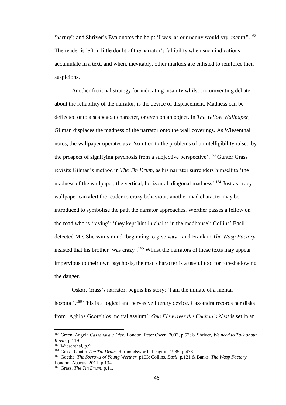'barmy'; and Shriver's Eva quotes the help: 'I was, as our nanny would say, *mental*'. 162 The reader is left in little doubt of the narrator's fallibility when such indications accumulate in a text, and when, inevitably, other markers are enlisted to reinforce their suspicions.

Another fictional strategy for indicating insanity whilst circumventing debate about the reliability of the narrator, is the device of displacement. Madness can be deflected onto a scapegoat character, or even on an object. In *The Yellow Wallpaper*, Gilman displaces the madness of the narrator onto the wall coverings. As Wiesenthal notes, the wallpaper operates as a 'solution to the problems of unintelligibility raised by the prospect of signifying psychosis from a subjective perspective'.<sup>163</sup> Günter Grass revisits Gilman's method in *The Tin Drum*, as his narrator surrenders himself to 'the madness of the wallpaper, the vertical, horizontal, diagonal madness'.<sup>164</sup> Just as crazy wallpaper can alert the reader to crazy behaviour, another mad character may be introduced to symbolise the path the narrator approaches. Werther passes a fellow on the road who is 'raving': 'they kept him in chains in the madhouse'; Collins' Basil detected Mrs Sherwin's mind 'beginning to give way'; and Frank in *The Wasp Factory* insisted that his brother 'was crazy'.<sup>165</sup> Whilst the narrators of these texts may appear impervious to their own psychosis, the mad character is a useful tool for foreshadowing the danger.

Oskar, Grass's narrator, begins his story: 'I am the inmate of a mental hospital'.<sup>166</sup> This is a logical and pervasive literary device. Cassandra records her disks from 'Aghios Georghios mental asylum'; *One Flew over the Cuckoo's Nest* is set in an

<sup>162</sup> Green, Angela *Cassandra's Disk*. London: Peter Owen, 2002, p.57; & Shriver, *We need to Talk about Kevin*, p.119.

<sup>163</sup> Wiesenthal, p.9.

<sup>164</sup> Grass, Günter *The Tin Drum.* Harmondsworth: Penguin, 1985, p.478.

<sup>165</sup> Goethe, *The Sorrows of Young Werther*, p103; Collins, *Basil*, p.121 & Banks, *The Wasp Factory.* London: Abacus, 2011, p.134.

<sup>166</sup> Grass, *The Tin Drum*, p.11.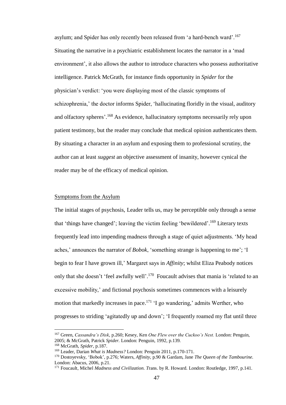asylum; and Spider has only recently been released from 'a hard-bench ward'.<sup>167</sup> Situating the narrative in a psychiatric establishment locates the narrator in a 'mad environment', it also allows the author to introduce characters who possess authoritative intelligence. Patrick McGrath, for instance finds opportunity in *Spider* for the physician's verdict: 'you were displaying most of the classic symptoms of schizophrenia,' the doctor informs Spider, 'hallucinating floridly in the visual, auditory and olfactory spheres'.<sup>168</sup> As evidence, hallucinatory symptoms necessarily rely upon patient testimony, but the reader may conclude that medical opinion authenticates them. By situating a character in an asylum and exposing them to professional scrutiny, the author can at least *suggest* an objective assessment of insanity, however cynical the reader may be of the efficacy of medical opinion.

# Symptoms from the Asylum

The initial stages of psychosis, Leader tells us, may be perceptible only through a sense that 'things have changed'; leaving the victim feeling 'bewildered'.<sup>169</sup> Literary texts frequently lead into impending madness through a stage of quiet adjustments. 'My head aches,' announces the narrator of *Bobok*, 'something strange is happening to me'; 'I begin to fear I have grown ill,' Margaret says in *Affinity*; whilst Eliza Peabody notices only that she doesn't 'feel awfully well'.<sup>170</sup> Foucault advises that mania is 'related to an excessive mobility,' and fictional psychosis sometimes commences with a leisurely motion that markedly increases in pace.<sup>171</sup> 'I go wandering,' admits Werther, who progresses to striding 'agitatedly up and down'; 'I frequently roamed my flat until three

<sup>167</sup> Green, *Cassandra's Disk*, p.260; Kesey, Ken *One Flew over the Cuckoo's Nest.* London: Penguin, 2005; & McGrath, Patrick *Spider.* London: Penguin, 1992*,* p.139.

<sup>168</sup> McGrath, *Spider,* p.187.

<sup>169</sup> Leader, Darian *What is Madness?* London: Penguin 2011, p.170-171.

<sup>170</sup> Dostoyevsky, 'Bobok', p.276; Waters, *Affinity,* p.90 & Gardam, Jane *The Queen of the Tambourine.* London: Abacus, 2006, p.21.

<sup>171</sup> Foucault, Michel *Madness and Civilization. T*rans. by R. Howard. London: Routledge, 1997, p.141.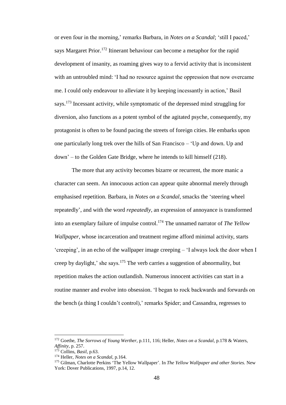or even four in the morning,' remarks Barbara, in *Notes on a Scandal*; 'still I paced,' says Margaret Prior.<sup>172</sup> Itinerant behaviour can become a metaphor for the rapid development of insanity, as roaming gives way to a fervid activity that is inconsistent with an untroubled mind: 'I had no resource against the oppression that now overcame me. I could only endeavour to alleviate it by keeping incessantly in action,' Basil says.<sup>173</sup> Incessant activity, while symptomatic of the depressed mind struggling for diversion, also functions as a potent symbol of the agitated psyche, consequently, my protagonist is often to be found pacing the streets of foreign cities. He embarks upon one particularly long trek over the hills of San Francisco – 'Up and down. Up and down' – to the Golden Gate Bridge, where he intends to kill himself (218).

The more that any activity becomes bizarre or recurrent, the more manic a character can seem. An innocuous action can appear quite abnormal merely through emphasised repetition. Barbara, in *Notes on a Scandal,* smacks the 'steering wheel repeatedly', and with the word *repeatedly*, an expression of annoyance is transformed into an exemplary failure of impulse control.<sup>174</sup> The unnamed narrator of *The Yellow Wallpaper,* whose incarceration and treatment regime afford minimal activity, starts 'creeping', in an echo of the wallpaper image creeping – 'I always lock the door when I creep by daylight,' she says.<sup>175</sup> The verb carries a suggestion of abnormality, but repetition makes the action outlandish. Numerous innocent activities can start in a routine manner and evolve into obsession. 'I began to rock backwards and forwards on the bench (a thing I couldn't control),' remarks Spider; and Cassandra, regresses to

<sup>172</sup> Goethe, *The Sorrows of Young Werther*, p.111, 116; Heller, *Notes on a Scandal*, p.178 & Waters, *Affinity,* p. 257.

<sup>173</sup> Collins, *Basil*, p.63.

<sup>174</sup> Heller, *Notes on a Scandal*, p.164.

<sup>175</sup> Gilman, Charlotte Perkins 'The Yellow Wallpaper'. In *The Yellow Wallpaper and other Stories.* New York: Dover Publications, 1997, p.14, 12.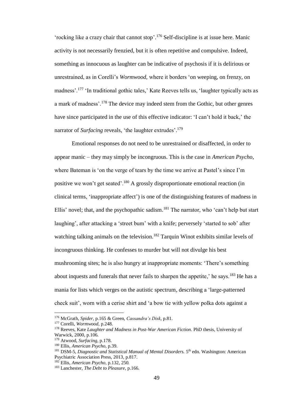'rocking like a crazy chair that cannot stop'. <sup>176</sup> Self-discipline is at issue here. Manic activity is not necessarily frenzied, but it is often repetitive and compulsive. Indeed, something as innocuous as laughter can be indicative of psychosis if it is delirious or unrestrained, as in Corelli's *Wormwood,* where it borders 'on weeping, on frenzy, on madness'.<sup>177</sup> 'In traditional gothic tales,' Kate Reeves tells us, 'laughter typically acts as a mark of madness'.<sup>178</sup> The device may indeed stem from the Gothic, but other genres have since participated in the use of this effective indicator: 'I can't hold it back,' the narrator of *Surfacing* reveals, 'the laughter extrudes'. 179

Emotional responses do not need to be unrestrained or disaffected, in order to appear manic – they may simply be incongruous. This is the case in *American Psycho*, where Bateman is 'on the verge of tears by the time we arrive at Pastel's since I'm positive we won't get seated'.<sup>180</sup> A grossly disproportionate emotional reaction (in clinical terms, 'inappropriate affect') is one of the distinguishing features of madness in Ellis' novel; that, and the psychopathic sadism.<sup>181</sup> The narrator, who 'can't help but start laughing', after attacking a 'street bum' with a knife; perversely 'started to sob' after watching talking animals on the television.<sup>182</sup> Tarquin Winot exhibits similar levels of incongruous thinking. He confesses to murder but will not divulge his best mushrooming sites; he is also hungry at inappropriate moments: 'There's something about inquests and funerals that never fails to sharpen the appetite,' he says.<sup>183</sup> He has a mania for lists which verges on the autistic spectrum, describing a 'large-patterned check suit', worn with a cerise shirt and 'a bow tie with yellow polka dots against a

<sup>176</sup> McGrath, *Spider*, p.165 & Green, *Cassandra's Disk*, p.81.

<sup>177</sup> Corelli, *Wormwood*, p.248.

<sup>178</sup> Reeves, Kate *Laughter and Madness in Post-War American Fiction*. PhD thesis, University of Warwick, 2000, p.106.

<sup>179</sup> Atwood, *Surfacing*, p.178.

<sup>180</sup> Ellis, *American Psycho*, p.39.

<sup>&</sup>lt;sup>181</sup> DSM-5, *Diagnostic and Statistical Manual of Mental Disorders*. 5<sup>th</sup> edn. Washington: American Psychiatric Association Press, 2013, p.817.

<sup>182</sup> Ellis, *American Psycho*, p.132, 250.

<sup>183</sup> Lanchester, *The Debt to Pleasure,* p.166.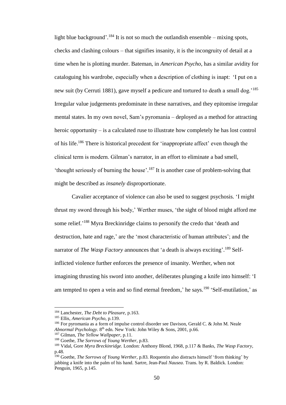light blue background'.<sup>184</sup> It is not so much the outlandish ensemble – mixing spots, checks and clashing colours – that signifies insanity, it is the incongruity of detail at a time when he is plotting murder. Bateman, in *American Psycho*, has a similar avidity for cataloguing his wardrobe, especially when a description of clothing is inapt: 'I put on a new suit (by Cerruti 1881), gave myself a pedicure and tortured to death a small dog.<sup>185</sup> Irregular value judgements predominate in these narratives, and they epitomise irregular mental states. In my own novel, Sam's pyromania – deployed as a method for attracting heroic opportunity – is a calculated ruse to illustrate how completely he has lost control of his life.<sup>186</sup> There is historical precedent for 'inappropriate affect' even though the clinical term is modern. Gilman's narrator, in an effort to eliminate a bad smell, 'thought seriously of burning the house'.<sup>187</sup> It is another case of problem-solving that might be described as *insanely* disproportionate.

Cavalier acceptance of violence can also be used to suggest psychosis. 'I might thrust my sword through his body,' Werther muses, 'the sight of blood might afford me some relief.<sup>'188</sup> Myra Breckinridge claims to personify the credo that 'death and destruction, hate and rage,' are the 'most characteristic of human attributes'; and the narrator of *The Wasp Factory* announces that 'a death is always exciting'. <sup>189</sup> Selfinflicted violence further enforces the presence of insanity. Werther, when not imagining thrusting his sword into another, deliberates plunging a knife into himself: 'I am tempted to open a vein and so find eternal freedom,' he says.<sup>190</sup> 'Self-mutilation,' as

<sup>184</sup> Lanchester, *The Debt to Pleasure,* p.163.

<sup>185</sup> Ellis, *American Psycho*, p.139.

<sup>186</sup> For pyromania as a form of impulse control disorder see Davison, Gerald C. & John M. Neale *Abnormal Psychology*. 8th edn. New York: John Wiley & Sons, 2001, p.66.

<sup>187</sup> Gilman, *The Yellow Wallpaper*, p.11.

<sup>188</sup> Goethe, *The Sorrows of Young Werther*, p.83.

<sup>189</sup> Vidal, Gore *Myra Breckinridge.* London: Anthony Blond, 1968, p.117 & Banks, *The Wasp Factory*, p.48.

<sup>190</sup> Goethe, *The Sorrows of Young Werther*, p.83. Roquentin also distracts himself 'from thinking' by jabbing a knife into the palm of his hand. Sartre, Jean-Paul *Nausea*. Trans. by R. Baldick. London: Penguin, 1965, p.145.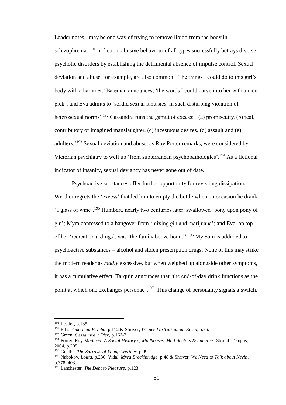Leader notes, 'may be one way of trying to remove libido from the body in schizophrenia.<sup>'191</sup> In fiction, abusive behaviour of all types successfully betrays diverse psychotic disorders by establishing the detrimental absence of impulse control. Sexual deviation and abuse, for example, are also common: 'The things I could do to this girl's body with a hammer,' Bateman announces, 'the words I could carve into her with an ice pick'; and Eva admits to 'sordid sexual fantasies, in such disturbing violation of heterosexual norms'.<sup>192</sup> Cassandra runs the gamut of excess: '(a) promiscuity, (b) real, contributory or imagined manslaughter, (c) incestuous desires, (d) assault and (e) adultery.<sup>'193</sup> Sexual deviation and abuse, as Roy Porter remarks, were considered by Victorian psychiatry to well up 'from subterranean psychopathologies'.<sup>194</sup> As a fictional indicator of insanity, sexual deviancy has never gone out of date.

Psychoactive substances offer further opportunity for revealing dissipation. Werther regrets the 'excess' that led him to empty the bottle when on occasion he drank 'a glass of wine'.<sup>195</sup> Humbert, nearly two centuries later, swallowed 'pony upon pony of gin'; Myra confessed to a hangover from 'mixing gin and marijuana'; and Eva, on top of her 'recreational drugs', was 'the family booze hound'.<sup>196</sup> My Sam is addicted to psychoactive substances – alcohol and stolen prescription drugs. None of this may strike the modern reader as *madly* excessive, but when weighed up alongside other symptoms, it has a cumulative effect. Tarquin announces that 'the end-of-day drink functions as the point at which one exchanges personae'.<sup>197</sup> This change of personality signals a switch,

<sup>191</sup> Leader, p.135.

<sup>192</sup> Ellis, *American Psycho*, p.112 & Shriver, *We need to Talk about Kevin*, p.76.

<sup>193</sup> Green, *Cassandra's Disk*, p.162-3.

<sup>194</sup> Porter, Roy M*admen: A Social History of Madhouses, Mad-doctors & Lunatics.* Stroud: Tempus, 2004, p.205.

<sup>195</sup> Goethe, *The Sorrows of Young Werther*, p.99.

<sup>196</sup> Nabokov, *Lolita*, p.236; Vidal, *Myra Breckinridge,* p.48 & Shriver, *We Need to Talk about Kevin*, p.378, 403.

<sup>197</sup> Lanchester, *The Debt to Pleasure,* p.123.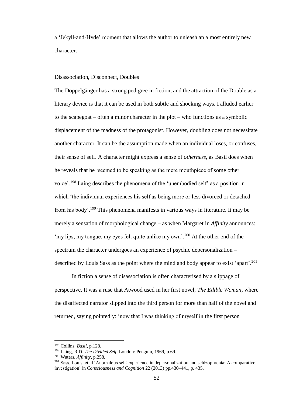a 'Jekyll-and-Hyde' moment that allows the author to unleash an almost entirely new character.

#### Disassociation, Disconnect, Doubles

The Doppelgänger has a strong pedigree in fiction, and the attraction of the Double as a literary device is that it can be used in both subtle and shocking ways. I alluded earlier to the scapegoat – often a minor character in the plot – who functions as a symbolic displacement of the madness of the protagonist. However, doubling does not necessitate another character. It can be the assumption made when an individual loses, or confuses, their sense of self. A character might express a sense of *otherness*, as Basil does when he reveals that he 'seemed to be speaking as the mere mouthpiece of some other voice'.<sup>198</sup> Laing describes the phenomena of the 'unembodied self' as a position in which 'the individual experiences his self as being more or less divorced or detached from his body'.<sup>199</sup> This phenomena manifests in various ways in literature. It may be merely a sensation of morphological change – as when Margaret in *Affinity* announces: 'my lips, my tongue, my eyes felt quite unlike my own'.<sup>200</sup> At the other end of the spectrum the character undergoes an experience of psychic depersonalization – described by Louis Sass as the point where the mind and body appear to exist 'apart'. 201

In fiction a sense of disassociation is often characterised by a slippage of perspective. It was a ruse that Atwood used in her first novel, *The Edible Woman*, where the disaffected narrator slipped into the third person for more than half of the novel and returned, saying pointedly: 'now that I was thinking of myself in the first person

<sup>198</sup> Collins, *Basil*, p.128.

<sup>199</sup> Laing, R.D. *The Divided Self.* London: Penguin, 1969, p.69.

<sup>200</sup> Waters, *Affinity*, p.258.

<sup>&</sup>lt;sup>201</sup> Sass, Louis, et al 'Anomalous self-experience in depersonalization and schizophrenia: A comparative investigation' in *Consciousness and Cognition* 22 (2013) pp.430–441, p. 435.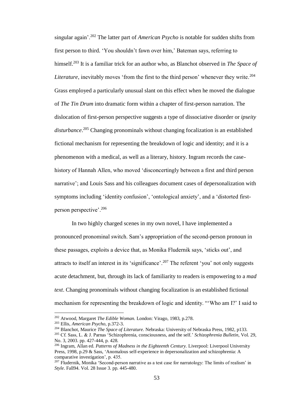singular again'.<sup>202</sup> The latter part of *American Psycho* is notable for sudden shifts from first person to third. 'You shouldn't fawn over him,' Bateman says, referring to himself.<sup>203</sup> It is a familiar trick for an author who, as Blanchot observed in *The Space of Literature*, inevitably moves 'from the first to the third person' whenever they write.<sup>204</sup> Grass employed a particularly unusual slant on this effect when he moved the dialogue of *The Tin Drum* into dramatic form within a chapter of first-person narration. The dislocation of first-person perspective suggests a type of dissociative disorder or *ipseity disturbance*. <sup>205</sup> Changing pronominals without changing focalization is an established fictional mechanism for representing the breakdown of logic and identity; and it is a phenomenon with a medical, as well as a literary, history. Ingram records the casehistory of Hannah Allen, who moved 'disconcertingly between a first and third person narrative'; and Louis Sass and his colleagues document cases of depersonalization with symptoms including 'identity confusion', 'ontological anxiety', and a 'distorted firstperson perspective'.<sup>206</sup>

In two highly charged scenes in my own novel, I have implemented a pronounced pronominal switch. Sam's appropriation of the second-person pronoun in these passages, exploits a device that, as Monika Fludernik says, 'sticks out', and attracts to itself an interest in its 'significance'.<sup>207</sup> The referent 'you' not only suggests acute detachment, but, through its lack of familiarity to readers is empowering to a *mad text*. Changing pronominals without changing focalization is an established fictional mechanism for representing the breakdown of logic and identity. "'Who am I?' I said to

<sup>202</sup> Atwood, Margaret *The Edible Woman.* London: Virago, 1983, p.278.

<sup>203</sup> Ellis, *American Psycho*, p.372-3.

<sup>204</sup> Blanchot, Maurice *The Space of Literature.* Nebraska: University of Nebraska Press, 1982, p133.

<sup>205</sup> Cf. Sass, L. & J. Parnas 'Schizophrenia, consciousness, and the self.' *Schizophrenia Bulletin*, Vol. 29, No. 3, 2003. pp. 427-444, p. 428.

<sup>206</sup> Ingram, Allan ed. *Patterns of Madness in the Eighteenth Century.* Liverpool: Liverpool University Press, 1998, p.29 & Sass, 'Anomalous self-experience in depersonalization and schizophrenia: A comparative investigation', p. 435.

 $^{207}$  Fludernik, Monika 'Second-person narrative as a test case for narratology: The limits of realism' in *Style*. Fall94. Vol. 28 Issue 3. pp. 445-480.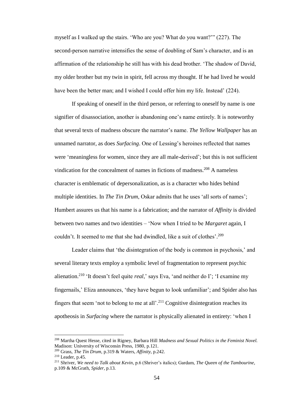myself as I walked up the stairs. 'Who are you? What do you want?'" (227). The second-person narrative intensifies the sense of doubling of Sam's character, and is an affirmation of the relationship he still has with his dead brother. 'The shadow of David, my older brother but my twin in spirit, fell across my thought. If he had lived he would have been the better man; and I wished I could offer him my life. Instead' (224).

If speaking of oneself in the third person, or referring to oneself by name is one signifier of disassociation, another is abandoning one's name entirely. It is noteworthy that several texts of madness obscure the narrator's name. *The Yellow Wallpaper* has an unnamed narrator, as does *Surfacing*. One of Lessing's heroines reflected that names were 'meaningless for women, since they are all male-derived'; but this is not sufficient vindication for the concealment of names in fictions of madness.<sup>208</sup> A nameless character is emblematic of depersonalization, as is a character who hides behind multiple identities. In *The Tin Drum*, Oskar admits that he uses 'all sorts of names'; Humbert assures us that his name is a fabrication; and the narrator of *Affinity* is divided between two names and two identities – 'Now when I tried to be *Margaret* again, I couldn't. It seemed to me that she had dwindled, like a suit of clothes'. 209

Leader claims that 'the disintegration of the body is common in psychosis,' and several literary texts employ a symbolic level of fragmentation to represent psychic alienation.<sup>210</sup> 'It doesn't feel quite *real*,' says Eva, 'and neither do I'; 'I examine my fingernails,' Eliza announces, 'they have begun to look unfamiliar'; and Spider also has fingers that seem 'not to belong to me at all'.<sup>211</sup> Cognitive disintegration reaches its apotheosis in *Surfacing* where the narrator is physically alienated in entirety: 'when I

<sup>208</sup> Martha Quest Hesse, cited in Rigney, Barbara Hill *Madness and Sexual Politics in the Feminist Novel.*  Madison: University of Wisconsin Press, 1980, p.121.

<sup>209</sup> Grass, *The Tin Drum*, p.319 & Waters, *Affinity,* p.242.

<sup>210</sup> Leader, p.45.

<sup>211</sup> Shriver, *We need to Talk about Kevin*, p.6 (Shriver's italics); Gardam, *The Queen of the Tambourine*, p.109 & McGrath, *Spider*, p.13.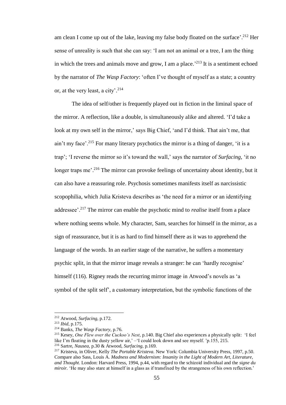am clean I come up out of the lake, leaving my false body floated on the surface'.<sup>212</sup> Her sense of unreality is such that she can say: 'I am not an animal or a tree, I am the thing in which the trees and animals move and grow, I am a place.<sup>213</sup> It is a sentiment echoed by the narrator of *The Wasp Factory*: 'often I've thought of myself as a state; a country or, at the very least, a city'. 214

The idea of self/other is frequently played out in fiction in the liminal space of the mirror. A reflection, like a double, is simultaneously alike and altered. 'I'd take a look at my own self in the mirror,' says Big Chief, 'and I'd think. That ain't me, that ain't my face'.<sup>215</sup> For many literary psychotics the mirror is a thing of danger, 'it is a trap'; 'I reverse the mirror so it's toward the wall,' says the narrator of *Surfacing*, 'it no longer traps me'.<sup>216</sup> The mirror can provoke feelings of uncertainty about identity, but it can also have a reassuring role. Psychosis sometimes manifests itself as narcissistic scopophilia, which Julia Kristeva describes as 'the need for a mirror or an identifying addressee'.<sup>217</sup> The mirror can enable the psychotic mind to *realise* itself from a place where nothing seems whole. My character, Sam, searches for himself in the mirror, as a sign of reassurance, but it is as hard to find himself there as it was to apprehend the language of the words. In an earlier stage of the narrative, he suffers a momentary psychic split, in that the mirror image reveals a stranger: he can 'hardly recognise' himself (116). Rigney reads the recurring mirror image in Atwood's novels as 'a symbol of the split self', a customary interpretation, but the symbolic functions of the

<sup>212</sup> Atwood, *Surfacing,* p.172.

<sup>213</sup> *Ibid,* p.175.

<sup>214</sup> Banks, *The Wasp Factory*, p.76.

<sup>215</sup> Kesey, *One Flew over the Cuckoo's Nest*, p.140. Big Chief also experiences a physically split: 'I feel like I'm floating in the dusty yellow air,' -'I could look down and see myself. 'p.155, 215. <sup>216</sup> Sartre, *Nausea*, p.30 & Atwood, *Surfacing,* p.169.

<sup>217</sup> Kristeva, in Oliver, Kelly *The Portable Kristeva.* New York: Columbia University Press, 1997, p.50. Compare also Sass, Louis A. *Madness and Modernism: Insanity in the Light of Modern Art, Literature, and Thought*. London: Harvard Press, 1994, p.44, with regard to the schizoid individual and the *signe du miroir.* 'He may also stare at himself in a glass as if transfixed by the strangeness of his own reflection.'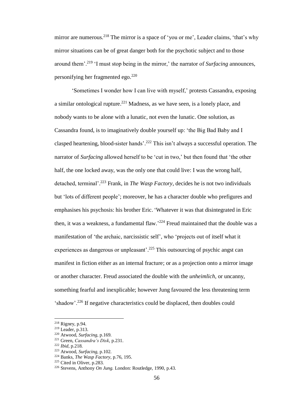mirror are numerous.<sup>218</sup> The mirror is a space of 'you or me', Leader claims, 'that's why mirror situations can be of great danger both for the psychotic subject and to those around them'.<sup>219</sup> 'I must stop being in the mirror,' the narrator of *Surfacing* announces, personifying her fragmented ego. 220

'Sometimes I wonder how I can live with myself,' protests Cassandra, exposing a similar ontological rupture.<sup>221</sup> Madness, as we have seen, is a lonely place, and nobody wants to be alone with a lunatic, not even the lunatic. One solution, as Cassandra found, is to imaginatively double yourself up: 'the Big Bad Baby and I clasped heartening, blood-sister hands'. <sup>222</sup> This isn't always a successful operation. The narrator of *Surfacing* allowed herself to be 'cut in two,' but then found that 'the other half, the one locked away, was the only one that could live: I was the wrong half, detached, terminal'. <sup>223</sup> Frank, in *The Wasp Factory*, decides he is not two individuals but 'lots of different people'; moreover, he has a character double who prefigures and emphasises his psychosis: his brother Eric. 'Whatever it was that disintegrated in Eric then, it was a weakness, a fundamental flaw.<sup>224</sup> Freud maintained that the double was a manifestation of 'the archaic, narcissistic self', who 'projects out of itself what it experiences as dangerous or unpleasant'.<sup>225</sup> This outsourcing of psychic angst can manifest in fiction either as an internal fracture; or as a projection onto a mirror image or another character. Freud associated the double with the *unheimlich*, or uncanny, something fearful and inexplicable; however Jung favoured the less threatening term 'shadow'.<sup>226</sup> If negative characteristics could be displaced, then doubles could

<sup>218</sup> Rigney, p.94.

<sup>219</sup> Leader, p.313.

<sup>220</sup> Atwood, *Surfacing,* p.169.

<sup>221</sup> Green, *Cassandra's Disk*, p.231.

<sup>222</sup> *Ibid*, p.218.

<sup>223</sup> Atwood, *Surfacing,* p.102.

<sup>224</sup> Banks, *The Wasp Factory*, p.76, 195.

<sup>225</sup> Cited in Oliver, p.283.

<sup>226</sup> Stevens, Anthony *On Jung.* London: Routledge, 1990, p.43.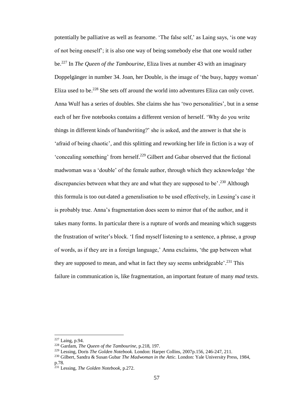potentially be palliative as well as fearsome. 'The false self,' as Laing says, 'is one way of not being oneself'; it is also one way of being somebody else that one would rather be.<sup>227</sup> In *The Queen of the Tambourine*, Eliza lives at number 43 with an imaginary Doppelgänger in number 34. Joan, her Double, is the image of 'the busy, happy woman' Eliza used to be.<sup>228</sup> She sets off around the world into adventures Eliza can only covet. Anna Wulf has a series of doubles. She claims she has 'two personalities', but in a sense each of her five notebooks contains a different version of herself. 'Why do you write things in different kinds of handwriting?' she is asked, and the answer is that she is 'afraid of being chaotic', and this splitting and reworking her life in fiction is a way of 'concealing something' from herself. <sup>229</sup> Gilbert and Gubar observed that the fictional madwoman was a 'double' of the female author, through which they acknowledge 'the discrepancies between what they are and what they are supposed to be'.<sup>230</sup> Although this formula is too out-dated a generalisation to be used effectively, in Lessing's case it is probably true. Anna's fragmentation does seem to mirror that of the author, and it takes many forms. In particular there is a rupture of words and meaning which suggests the frustration of writer's block. 'I find myself listening to a sentence, a phrase, a group of words, as if they are in a foreign language,' Anna exclaims, 'the gap between what they are supposed to mean, and what in fact they say seems unbridgeable'.<sup>231</sup> This failure in communication is, like fragmentation, an important feature of many *mad* texts.

 $227$  Laing, p.94.

<sup>228</sup> Gardam, *The Queen of the Tambourine*, p.218, 197.

<sup>229</sup> Lessing, Doris *The Golden Notebook.* London: Harper Collins, 2007p.156, 246-247, 211.

<sup>230</sup> Gilbert, Sandra & Susan Gubar *The Madwoman in the Attic.* London: Yale University Press, 1984, p.78.

<sup>231</sup> Lessing, *The Golden Notebook*, p.272.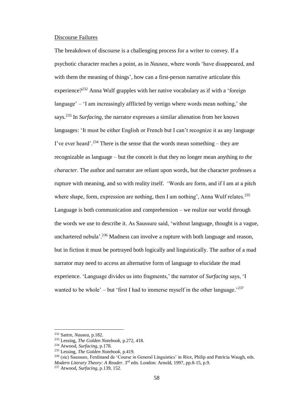### Discourse Failures

The breakdown of discourse is a challenging process for a writer to convey. If a psychotic character reaches a point, as in *Nausea*, where words 'have disappeared, and with them the meaning of things', how can a first-person narrative articulate this experience?<sup>232</sup> Anna Wulf grapples with her native vocabulary as if with a 'foreign language' – 'I am increasingly afflicted by vertigo where words mean nothing,' she says.<sup>233</sup> In *Surfacing,* the narrator expresses a similar alienation from her known languages: 'It must be either English or French but I can't recognize it as any language I've ever heard'.<sup>234</sup> There is the sense that the words mean something – they are recognizable as language – but the conceit is that they no longer mean anything *to the character*. The author and narrator are reliant upon words, but the character professes a rupture with meaning, and so with reality itself. 'Words are form, and if I am at a pitch where shape, form, expression are nothing, then I am nothing', Anna Wulf relates.<sup>235</sup> Language is both communication and comprehension – we realize our world through the words we use to describe it. As Saussure said, 'without language, thought is a vague, unchartered nebula<sup>'</sup>.<sup>236</sup> Madness can involve a rupture with both language and reason, but in fiction it must be portrayed both logically and linguistically. The author of a mad narrator may need to access an alternative form of language to elucidate the mad experience. 'Language divides us into fragments,' the narrator of *Surfacing* says, 'I wanted to be whole' – but 'first I had to immerse myself in the other language.'<sup>237</sup>

<sup>232</sup> Sartre, *Nausea*, p.182.

<sup>233</sup> Lessing, *The Golden Notebook*, p.272, 418.

<sup>234</sup> Atwood, *Surfacing*, p.178.

<sup>235</sup> Lessing, *The Golden Notebook,* p.419.

<sup>&</sup>lt;sup>236</sup> (sic) Saussure, Ferdinand de 'Course in General Linguistics' in Rice, Philip and Patricia Waugh, eds. *Modern Literary Theory: A Reader*. 3rd edn. London: Arnold, 1997, pp.8-15, p.9.

<sup>237</sup> Atwood, *Surfacing*, p.139, 152.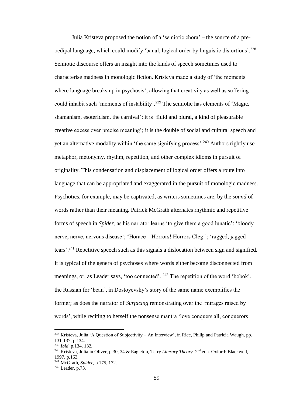Julia Kristeva proposed the notion of a 'semiotic chora' – the source of a preoedipal language, which could modify 'banal, logical order by linguistic distortions'.<sup>238</sup> Semiotic discourse offers an insight into the kinds of speech sometimes used to characterise madness in monologic fiction. Kristeva made a study of 'the moments where language breaks up in psychosis'; allowing that creativity as well as suffering could inhabit such 'moments of instability'.<sup>239</sup> The semiotic has elements of 'Magic, shamanism, esotericism, the carnival'; it is 'fluid and plural, a kind of pleasurable creative excess over precise meaning'; it is the double of social and cultural speech and yet an alternative modality within 'the same signifying process'.<sup>240</sup> Authors rightly use metaphor, metonymy, rhythm, repetition, and other complex idioms in pursuit of originality. This condensation and displacement of logical order offers a route into language that can be appropriated and exaggerated in the pursuit of monologic madness. Psychotics, for example, may be captivated, as writers sometimes are, by the *sound* of words rather than their meaning. Patrick McGrath alternates rhythmic and repetitive forms of speech in *Spider*, as his narrator learns 'to give them a good lunatic': 'bloody nerve, nerve, nervous disease'; 'Horace – Horrors! Horrors Cleg!'; 'ragged, jagged tears'.<sup>241</sup> Repetitive speech such as this signals a dislocation between sign and signified. It is typical of the genera of psychoses where words either become disconnected from meanings, or, as Leader says, 'too connected'. <sup>242</sup> The repetition of the word 'bobok', the Russian for 'bean', in Dostoyevsky's story of the same name exemplifies the former; as does the narrator of *Surfacing* remonstrating over the 'mirages raised by words', while reciting to herself the nonsense mantra 'love conquers all, conquerors

<sup>&</sup>lt;sup>238</sup> Kristeva, Julia 'A Question of Subjectivity – An Interview', in Rice, Philip and Patricia Waugh, pp. 131-137, p.134.

<sup>239</sup> *Ibid*, p.134, 132.

<sup>&</sup>lt;sup>240</sup> Kristeva, Julia in Oliver, p.30, 34 & Eagleton, Terry *Literary Theory*. 2<sup>nd</sup> edn. Oxford: Blackwell, 1997, p.163.

<sup>241</sup> McGrath, *Spider*, p.175, 172.

<sup>242</sup> Leader, p.73.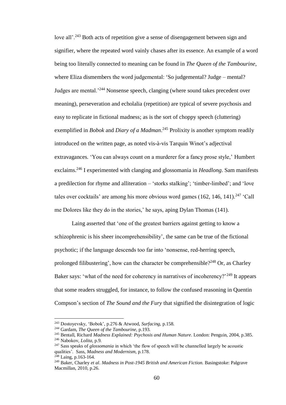love all'.<sup>243</sup> Both acts of repetition give a sense of disengagement between sign and signifier, where the repeated word vainly chases after its essence. An example of a word being too literally connected to meaning can be found in *The Queen of the Tambourine*, where Eliza dismembers the word judgemental: 'So judgemental? Judge – mental? Judges are mental.'<sup>244</sup> Nonsense speech, clanging (where sound takes precedent over meaning), perseveration and echolalia (repetition) are typical of severe psychosis and easy to replicate in fictional madness; as is the sort of choppy speech (cluttering) exemplified in *Bobok* and *Diary of a Madman*. <sup>245</sup> Prolixity is another symptom readily introduced on the written page, as noted vis-à-vis Tarquin Winot's adjectival extravagances*.* 'You can always count on a murderer for a fancy prose style,' Humbert exclaims. <sup>246</sup> I experimented with clanging and glossomania in *Headlong*. Sam manifests a predilection for rhyme and alliteration – 'storks stalking'; 'timber-limbed'; and 'love tales over cocktails' are among his more obvious word games  $(162, 146, 141)$ .<sup>247</sup> 'Call me Dolores like they do in the stories,' he says, aping Dylan Thomas (141).

Laing asserted that 'one of the greatest barriers against getting to know a schizophrenic is his sheer incomprehensibility', the same can be true of the fictional psychotic; if the language descends too far into 'nonsense, red-herring speech, prolonged filibustering', how can the character be comprehensible?<sup>248</sup> Or, as Charley Baker says: 'what of the need for coherency in narratives of incoherency?'<sup>249</sup> It appears that some readers struggled, for instance, to follow the confused reasoning in Quentin Compson's section of *The Sound and the Fury* that signified the disintegration of logic

<sup>243</sup> Dostoyevsky, 'Bobok', p.276 & Atwood, *Surfacing*, p.158.

<sup>244</sup> Gardam, *The Queen of the Tambourine*, p.193.

<sup>245</sup> Bentall, Richard *Madness Explained: Psychosis and Human Nature*. London: Penguin, 2004, p.385.

<sup>246</sup> Nabokov, *Lolita*, p.9.

<sup>247</sup> Sass speaks of *glossomania* in which 'the flow of speech will be channelled largely be acoustic qualities'. Sass, *Madness and Modernism,* p.178.

 $248$  Laing, p.163-164.

<sup>249</sup> Baker, Charley *et al*. *Madness in Post-1945 British and American Fiction.* Basingstoke: Palgrave Macmillan, 2010, p.26.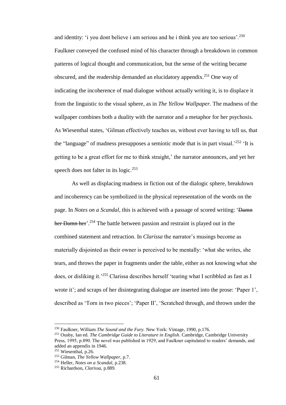and identity: 'i you dont believe i am serious and he i think you are too serious'.<sup>250</sup> Faulkner conveyed the confused mind of his character through a breakdown in common patterns of logical thought and communication, but the sense of the writing became obscured, and the readership demanded an elucidatory appendix. <sup>251</sup> One way of indicating the incoherence of mad dialogue without actually writing it, is to displace it from the linguistic to the visual sphere, as in *The Yellow Wallpaper.* The madness of the wallpaper combines both a duality with the narrator and a metaphor for her psychosis. As Wiesenthal states, 'Gilman effectively teaches us, without ever having to tell us, that the "language" of madness presupposes a semiotic mode that is in part visual.<sup>252</sup> 'It is getting to be a great effort for me to think straight,' the narrator announces, and yet her speech does not falter in its logic.<sup>253</sup>

As well as displacing madness in fiction out of the dialogic sphere, breakdown and incoherency can be symbolized in the physical representation of the words on the page. In *Notes on a Scandal*, this is achieved with a passage of scored writing: 'Damn her Damn her'.<sup>254</sup> The battle between passion and restraint is played out in the combined statement and retraction. In *Clarissa* the narrator's musings become as materially disjointed as their owner is perceived to be mentally: 'what she writes, she tears, and throws the paper in fragments under the table, either as not knowing what she does, or disliking it.<sup>255</sup> Clarissa describes herself 'tearing what I scribbled as fast as I wrote it'; and scraps of her disintegrating dialogue are inserted into the prose: 'Paper 1', described as 'Torn in two pieces'; 'Paper II', 'Scratched through, and thrown under the

<sup>250</sup> Faulkner, William *The Sound and the Fury.* New York: Vintage, 1990, p.176.

<sup>251</sup> Ousby, Ian ed. *The Cambridge Guide to Literature in English*. Cambridge, Cambridge University Press, 1995, p.890. The novel was published in 1929, and Faulkner capitulated to readers' demands, and added an appendix in 1946.

 $252$  Wiesenthal, p.26.

<sup>253</sup> Gilman, *The Yellow Wallpaper*, p.7.

<sup>254</sup> Heller, *Notes on a Scandal*, p.238.

<sup>255</sup> Richardson, *Clarissa,* p.889.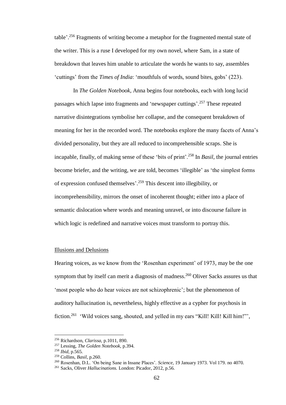table'.<sup>256</sup> Fragments of writing become a metaphor for the fragmented mental state of the writer. This is a ruse I developed for my own novel, where Sam, in a state of breakdown that leaves him unable to articulate the words he wants to say, assembles 'cuttings' from the *Times of India*: 'mouthfuls of words, sound bites, gobs' (223).

In *The Golden Notebook*, Anna begins four notebooks, each with long lucid passages which lapse into fragments and 'newspaper cuttings'.<sup>257</sup> These repeated narrative disintegrations symbolise her collapse, and the consequent breakdown of meaning for her in the recorded word. The notebooks explore the many facets of Anna's divided personality, but they are all reduced to incomprehensible scraps. She is incapable, finally, of making sense of these 'bits of print'.<sup>258</sup> In *Basil*, the journal entries become briefer, and the writing, we are told, becomes 'illegible' as 'the simplest forms of expression confused themselves'. <sup>259</sup> This descent into illegibility, or incomprehensibility, mirrors the onset of incoherent thought; either into a place of semantic dislocation where words and meaning unravel, or into discourse failure in which logic is redefined and narrative voices must transform to portray this.

## Illusions and Delusions

Hearing voices, as we know from the 'Rosenhan experiment' of 1973, may be the one symptom that by itself can merit a diagnosis of madness.<sup>260</sup> Oliver Sacks assures us that 'most people who do hear voices are not schizophrenic'; but the phenomenon of auditory hallucination is, nevertheless, highly effective as a cypher for psychosis in fiction.<sup>261</sup> 'Wild voices sang, shouted, and yelled in my ears "Kill! Kill! Kill him!"',

<sup>256</sup> Richardson, *Clarissa,* p.1011, 890.

<sup>257</sup> Lessing, *The Golden Notebook*, p.394.

<sup>258</sup> *Ibid*, p.565.

<sup>259</sup> Collins, *Basil*, p.260.

<sup>260</sup> Rosenhan, D.L. 'On being Sane in Insane Places'. *Science*, 19 January 1973. Vol 179. no 4070.

<sup>261</sup> Sacks, Oliver *Hallucinations.* London: Picador, 2012, p.56.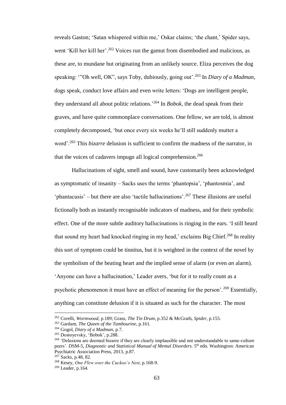reveals Gaston; 'Satan whispered within me,' Oskar claims; 'the chant,' Spider says, went 'Kill her kill her'.<sup>262</sup> Voices run the gamut from disembodied and malicious, as these are, to mundane but originating from an unlikely source. Eliza perceives the dog speaking: '"Oh well, OK", says Toby, dubiously, going out'.<sup>263</sup> In *Diary of a Madman,* dogs speak, conduct love affairs and even write letters: 'Dogs are intelligent people, they understand all about politic relations.' <sup>264</sup> In *Bobok,* the dead speak from their graves, and have quite commonplace conversations. One fellow, we are told, is almost completely decomposed, 'but once every six weeks he'll still suddenly mutter a word'. <sup>265</sup> This *bizarre* delusion is sufficient to confirm the madness of the narrator, in that the voices of cadavers impugn all logical comprehension. 266

Hallucinations of sight, smell and sound, have customarily been acknowledged as symptomatic of insanity – Sacks uses the terms 'phantopsia', 'phantosmia', and 'phantacusis' – but there are also 'tactile hallucinations'.<sup>267</sup> These illusions are useful fictionally both as instantly recognisable indicators of madness, and for their symbolic effect. One of the more subtle auditory hallucinations is ringing in the ears. 'I still heard that sound my heart had knocked ringing in my head,' exclaims Big Chief.<sup>268</sup> In reality this sort of symptom could be tinnitus, but it is weighted in the context of the novel by the symbolism of the beating heart and the implied sense of alarm (or even *an* alarm). 'Anyone can have a hallucination,' Leader avers, 'but for it to really count as a psychotic phenomenon it must have an effect of meaning for the person'.<sup>269</sup> Essentially, anything can constitute delusion if it is situated as such for the character. The most

<sup>262</sup> Corelli, *Wormwood*, p.189; Grass, *The Tin Drum*, p.352 & McGrath, *Spider*, p.155.

<sup>263</sup> Gardam, *The Queen of the Tambourine*, p.161.

<sup>264</sup> Gogol, *Diary of a Madman*, p.7.

<sup>265</sup> Dostoyevsky, 'Bobok', p.288.

<sup>&</sup>lt;sup>266</sup> 'Delusions are deemed bizarre if they are clearly implausible and not understandable to same-culture peers'. DSM-5, *Diagnostic and Statistical Manual of Mental Disorders*. 5<sup>th</sup> edn. Washington: American Psychiatric Association Press, 2013, p.87.

 $267$  Sacks, p.48, 82.

<sup>268</sup> Kesey, *One Flew over the Cuckoo's Nest*, p.168-9.

<sup>269</sup> Leader, p.164.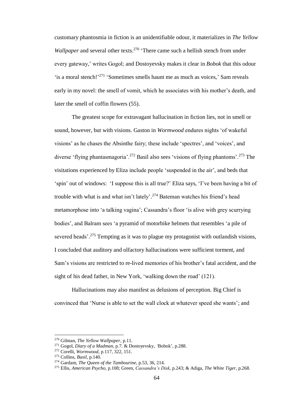customary phantosmia in fiction is an unidentifiable odour, it materializes in *The Yellow Wallpaper* and several other texts.<sup>270</sup> 'There came such a hellish stench from under every gateway,' writes Gogol; and Dostoyevsky makes it clear in *Bobok* that this odour 'is a moral stench!'<sup>271</sup> 'Sometimes smells haunt me as much as voices,' Sam reveals early in my novel: the smell of vomit, which he associates with his mother's death, and later the smell of coffin flowers (55).

The greatest scope for extravagant hallucination in fiction lies, not in smell or sound, however, but with visions. Gaston in *Wormwood* endures nights 'of wakeful visions' as he chases the Absinthe fairy; these include 'spectres', and 'voices', and diverse 'flying phantasmagoria'.<sup>272</sup> Basil also sees 'visions of flying phantoms'.<sup>273</sup> The visitations experienced by Eliza include people 'suspended in the air', and beds that 'spin' out of windows: 'I suppose this is all true?' Eliza says, 'I've been having a bit of trouble with what is and what isn't lately'.<sup>274</sup> Bateman watches his friend's head metamorphose into 'a talking vagina'; Cassandra's floor 'is alive with grey scurrying bodies', and Balram sees 'a pyramid of motorbike helmets that resembles 'a pile of severed heads'.<sup>275</sup> Tempting as it was to plague my protagonist with outlandish visions, I concluded that auditory and olfactory hallucinations were sufficient torment, and Sam's visions are restricted to re-lived memories of his brother's fatal accident, and the sight of his dead father, in New York, 'walking down the road' (121).

Hallucinations may also manifest as delusions of perception. Big Chief is convinced that 'Nurse is able to set the wall clock at whatever speed she wants'; and

<sup>270</sup> Gilman, *The Yellow Wallpaper*, p.11.

<sup>271</sup> Gogol, *Diary of a Madman*, p.7. & Dostoyevsky, *'*Bobok', p.288.

<sup>272</sup> Corelli, *Wormwood*, p.117, 322, 151.

<sup>273</sup> Collins, *Basil*, p.140.

<sup>274</sup> Gardam, *The Queen of the Tambourine*, p.53, 36, 214.

<sup>275</sup> Ellis, *American Psycho*, p.108; Green, *Cassandra's Disk*, p.243; & Adiga, *The White Tiger*, p.268.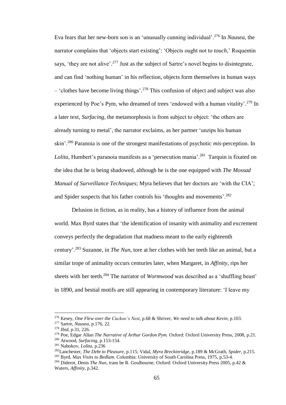Eva fears that her new-born son is an 'unusually cunning individual'. <sup>276</sup> In *Nausea*, the narrator complains that 'objects start existing': 'Objects ought not to *touch*,' Roquentin says, 'they are not alive'.<sup>277</sup> Just as the subject of Sartre's novel begins to disintegrate, and can find 'nothing human' in his reflection, objects form themselves in human ways – 'clothes have become living things'. <sup>278</sup> This confusion of object and subject was also experienced by Poe's Pym, who dreamed of trees 'endowed with a human vitality'.<sup>279</sup> In a later text, *Surfacing,* the metamorphosis is from subject to object: 'the others are already turning to metal', the narrator exclaims, as her partner 'unzips his human skin'. <sup>280</sup> Paranoia is one of the strongest manifestations of psychotic *mis*-perception. In *Lolita*, Humbert's paranoia manifests as a 'persecution mania'. <sup>281</sup> Tarquin is fixated on the idea that he is being shadowed, although he is the one equipped with *The Mossad Manual of Surveillance Techniques*; Myra believes that her doctors are 'with the CIA'; and Spider suspects that his father controls his 'thoughts and movements'.<sup>282</sup>

Delusion in fiction, as in reality, has a history of influence from the animal world. Max Byrd states that 'the identification of insanity with animality and excrement conveys perfectly the degradation that madness meant to the early eighteenth century'. <sup>283</sup> Suzanne, in *The Nun*, tore at her clothes with her teeth like an animal, but a similar trope of animality occurs centuries later, when Margaret, in *Affinity*, rips her sheets with her teeth. <sup>284</sup> The narrator of *Wormwood* was described as a 'shuffling beast' in 1890, and bestial motifs are still appearing in contemporary literature: 'I leave my

<sup>276</sup> Kesey, *One Flew over the Cuckoo's Nest*, p.68 & Shriver, *We need to talk about Kevin*, p.103.

<sup>277</sup> Sartre, *Nausea*, p.176, 22.

<sup>278</sup> *Ibid*, p.31, 226.

<sup>279</sup> Poe, Edgar Allan *The Narrative of Arthur Gordon Pym.* Oxford: Oxford University Press, 2008, p.21. <sup>280</sup> Atwood, *Surfacing*, p.153-154.

<sup>281</sup> Nabokov, *Lolita,* p.236

<sup>282</sup>Lanchester, *The Debt to Pleasure*, p.115; Vidal, *Myra Breckinridge*, p.189 & McGrath, *Spider*, p.215.

<sup>283</sup> Byrd, Max *Visits to Bedlam.* Columbia: University of South Carolina Press, 1975, p.53-4.

<sup>284</sup> Diderot, Denis *The Nun*, trans be R. Goulbourne. Oxford: Oxford University Press 2005, p.42 & Waters, *Affinity*, p.342.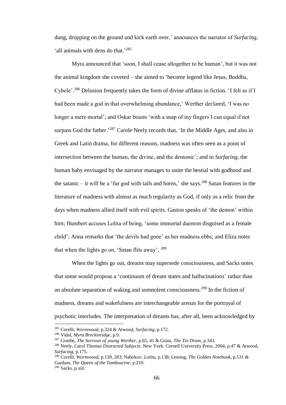dung, dropping on the ground and kick earth over,' announces the narrator of *Surfacing*, 'all animals with dens do that.'285

Myra announced that 'soon, I shall cease altogether to be human', but it was not the animal kingdom she coveted – she aimed to 'become legend like Jesus, Buddha, Cybele'.<sup>286</sup> Delusion frequently takes the form of divine afflatus in fiction. 'I felt as if I had been made a god in that overwhelming abundance,' Werther declared, 'I was no longer a mere mortal'; and Oskar boasts 'with a snap of my fingers I can equal if not surpass God the father.<sup>287</sup> Carole Neely records that, 'In the Middle Ages, and also in Greek and Latin drama, for different reasons, madness was often seen as a point of intersection between the human, the divine, and the demonic'; and in *Surfacing,* the human baby envisaged by the narrator manages to unite the bestial with godhood and the satanic  $-$  it will be a 'fur god with tails and horns,' she says.<sup>288</sup> Satan features in the literature of madness with almost as much regularity as God, if only as a relic from the days when madness allied itself with evil spirits. Gaston speaks of 'the demon' within him; Humbert accuses Lolita of being, 'some immortal daemon disguised as a female child'; Anna remarks that 'the devils had gone' as her madness ebbs; and Eliza notes that when the lights go on, 'Satan flits away'.<sup>289</sup>

When the lights go out, dreams may supersede consciousness, and Sacks notes that some would propose a 'continuum of dream states and hallucinations' rather than an absolute separation of waking and somnolent consciousness.<sup>290</sup> In the fiction of madness, dreams and wakefulness are interchangeable arenas for the portrayal of psychotic interludes. The interpretation of dreams has, after all, been acknowledged by

<sup>285</sup> Corelli, *Wormwood*, p.324 & Atwood, *Surfacing*, p.172.

<sup>286</sup> Vidal, *Myra Breckinridge*, p.9.

<sup>287</sup> Goethe, *The Sorrows of young Werther*, p.65, 41 & Grass, *The Tin Drum*, p.343.

<sup>288</sup> Neely, Carol Thomas *Distracted Subjects.* New York: Cornell University Press, 2004, p.47 & Atwood, *Surfacing*, p.175.

<sup>289</sup> Corelli, *Wormwood*, p.139, 283; Nabokov, *Lolita*, p.138; Lessing, *The Golden Notebook*, p.531 & Gardam, *The Queen of the Tambourine*, p.210.

<sup>290</sup> Sacks, p.xiii.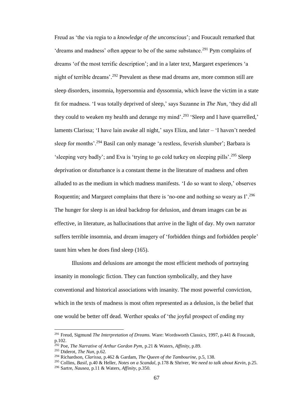Freud as 'the via regia to a *knowledge of the unconscious*'; and Foucault remarked that 'dreams and madness' often appear to be of the same substance.<sup>291</sup> Pym complains of dreams 'of the most terrific description'; and in a later text, Margaret experiences 'a night of terrible dreams'. <sup>292</sup> Prevalent as these mad dreams are, more common still are sleep disorders, insomnia, hypersomnia and dyssomnia, which leave the victim in a state fit for madness. 'I was totally deprived of sleep,' says Suzanne in *The Nun*, 'they did all they could to weaken my health and derange my mind'.<sup>293</sup> 'Sleep and I have quarrelled,' laments Clarissa; 'I have lain awake all night,' says Eliza, and later – 'I haven't needed sleep for months'.<sup>294</sup> Basil can only manage 'a restless, feverish slumber'; Barbara is 'sleeping very badly'; and Eva is 'trying to go cold turkey on sleeping pills'. <sup>295</sup> Sleep deprivation or disturbance is a constant theme in the literature of madness and often alluded to as the medium in which madness manifests. 'I do so want to sleep,' observes Roquentin; and Margaret complains that there is 'no-one and nothing so weary as  $\Gamma^{296}$ The hunger for sleep is an ideal backdrop for delusion, and dream images can be as effective, in literature, as hallucinations that arrive in the light of day. My own narrator suffers terrible insomnia, and dream imagery of 'forbidden things and forbidden people' taunt him when he does find sleep (165).

Illusions and delusions are amongst the most efficient methods of portraying insanity in monologic fiction. They can function symbolically, and they have conventional and historical associations with insanity. The most powerful conviction, which in the texts of madness is most often represented as a delusion, is the belief that one would be better off dead. Werther speaks of 'the joyful prospect of ending my

<sup>291</sup> Freud, Sigmund *The Interpretation of Dreams.* Ware: Wordsworth Classics, 1997, p.441 & Foucault, p.102.

<sup>292</sup> Poe, *The Narrative of Arthur Gordon Pym,* p.21 & Waters, *Affinity*, p.89.

<sup>293</sup> Diderot, *The Nun*, p.62.

<sup>294</sup> Richardson, *Clarissa*, p.462 & Gardam, *The Queen of the Tambourine*, p.5, 138.

<sup>295</sup> Collins, *Basil,* p.40 & Heller, *Notes on a Scandal*, p.178 & Shriver, *We need to talk about Kevin*, p.25.

<sup>296</sup> Sartre, *Nausea,* p.11 & Waters, *Affinity*, p.350.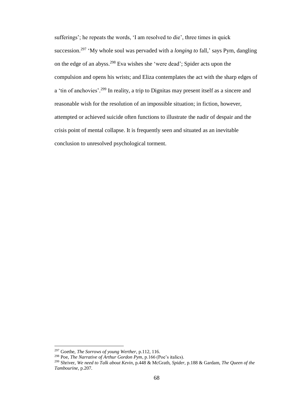sufferings'; he repeats the words, 'I am resolved to die', three times in quick succession.<sup>297</sup> 'My whole soul was pervaded with a *longing to* fall,' says Pym, dangling on the edge of an abyss. <sup>298</sup> Eva wishes she 'were dead'; Spider acts upon the compulsion and opens his wrists; and Eliza contemplates the act with the sharp edges of a 'tin of anchovies'.<sup>299</sup> In reality, a trip to Dignitas may present itself as a sincere and reasonable wish for the resolution of an impossible situation; in fiction, however, attempted or achieved suicide often functions to illustrate the nadir of despair and the crisis point of mental collapse. It is frequently seen and situated as an inevitable conclusion to unresolved psychological torment.

<sup>297</sup> Goethe, *The Sorrows of young Werther*, p.112, 116.

<sup>298</sup> Poe, *The Narrative of Arthur Gordon Pym*, p.166 (Poe's italics).

<sup>299</sup> Shriver, *We need to Talk about Kevin*, p.448 & McGrath, *Spider*, p.188 & Gardam, *The Queen of the Tambourine*, p.207.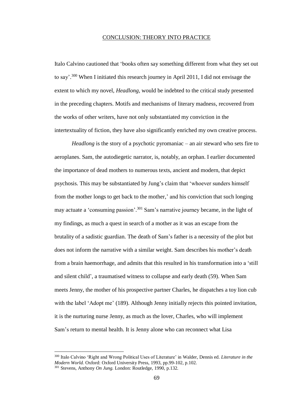## CONCLUSION: THEORY INTO PRACTICE

Italo Calvino cautioned that 'books often say something different from what they set out to say'.<sup>300</sup> When I initiated this research journey in April 2011, I did not envisage the extent to which my novel, *Headlong*, would be indebted to the critical study presented in the preceding chapters. Motifs and mechanisms of literary madness, recovered from the works of other writers, have not only substantiated my conviction in the intertextuality of fiction, they have also significantly enriched my own creative process.

*Headlong* is the story of a psychotic pyromaniac – an air steward who sets fire to aeroplanes. Sam, the autodiegetic narrator, is, notably, an orphan. I earlier documented the importance of dead mothers to numerous texts, ancient and modern, that depict psychosis. This may be substantiated by Jung's claim that 'whoever sunders himself from the mother longs to get back to the mother,' and his conviction that such longing may actuate a 'consuming passion'.<sup>301</sup> Sam's narrative journey became, in the light of my findings, as much a quest in search of a mother as it was an escape from the brutality of a sadistic guardian. The death of Sam's father is a necessity of the plot but does not inform the narrative with a similar weight. Sam describes his mother's death from a brain haemorrhage, and admits that this resulted in his transformation into a 'still and silent child', a traumatised witness to collapse and early death (59). When Sam meets Jenny, the mother of his prospective partner Charles, he dispatches a toy lion cub with the label 'Adopt me' (189). Although Jenny initially rejects this pointed invitation, it is the nurturing nurse Jenny, as much as the lover, Charles, who will implement Sam's return to mental health. It is Jenny alone who can reconnect what Lisa

<sup>300</sup> Italo Calvino 'Right and Wrong Political Uses of Literature' in Walder, Dennis ed. *Literature in the Modern World.* Oxford: Oxford University Press, 1993, pp.99-102, p.102. <sup>301</sup> Stevens, Anthony *On Jung.* London: Routledge, 1990, p.132.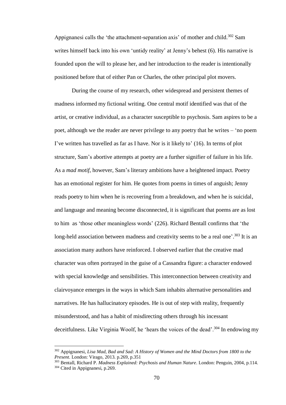Appignanesi calls the 'the attachment-separation axis' of mother and child.<sup>302</sup> Sam writes himself back into his own 'untidy reality' at Jenny's behest (6). His narrative is founded upon the will to please her, and her introduction to the reader is intentionally positioned before that of either Pan or Charles, the other principal plot movers.

During the course of my research, other widespread and persistent themes of madness informed my fictional writing. One central motif identified was that of the artist, or creative individual, as a character susceptible to psychosis. Sam aspires to be a poet, although we the reader are never privilege to any poetry that he writes – 'no poem I've written has travelled as far as I have. Nor is it likely to' (16). In terms of plot structure, Sam's abortive attempts at poetry are a further signifier of failure in his life. As a *mad motif*, however, Sam's literary ambitions have a heightened impact. Poetry has an emotional register for him. He quotes from poems in times of anguish; Jenny reads poetry to him when he is recovering from a breakdown, and when he is suicidal, and language and meaning become disconnected, it is significant that poems are as lost to him as 'those other meaningless words' (226). Richard Bentall confirms that 'the long-held association between madness and creativity seems to be a real one'.<sup>303</sup> It is an association many authors have reinforced. I observed earlier that the creative mad character was often portrayed in the guise of a Cassandra figure: a character endowed with special knowledge and sensibilities. This interconnection between creativity and clairvoyance emerges in the ways in which Sam inhabits alternative personalities and narratives. He has hallucinatory episodes. He is out of step with reality, frequently misunderstood, and has a habit of misdirecting others through his incessant deceitfulness. Like Virginia Woolf, he 'hears the voices of the dead'.<sup>304</sup> In endowing my

<sup>302</sup> Appignanesi, *Lisa Mad, Bad and Sad: A History of Women and the Mind Doctors from 1800 to the Present*. London: Virago, 2013. p.269, p.351

<sup>303</sup> Bentall, Richard P. *Madness Explained: Psychosis and Human Nature*. London: Penguin, 2004, p.114. <sup>304</sup> Cited in Appignanesi, p.269.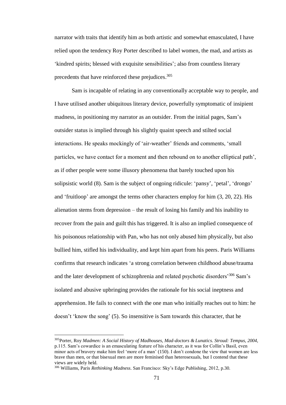narrator with traits that identify him as both artistic and somewhat emasculated, I have relied upon the tendency Roy Porter described to label women, the mad, and artists as 'kindred spirits; blessed with exquisite sensibilities'; also from countless literary precedents that have reinforced these prejudices.<sup>305</sup>

Sam is incapable of relating in any conventionally acceptable way to people, and I have utilised another ubiquitous literary device, powerfully symptomatic of insipient madness, in positioning my narrator as an outsider. From the initial pages, Sam's outsider status is implied through his slightly quaint speech and stilted social interactions. He speaks mockingly of 'air-weather' friends and comments, 'small particles, we have contact for a moment and then rebound on to another elliptical path', as if other people were some illusory phenomena that barely touched upon his solipsistic world (8). Sam is the subject of ongoing ridicule: 'pansy', 'petal', 'drongo' and 'fruitloop' are amongst the terms other characters employ for him (3, 20, 22). His alienation stems from depression – the result of losing his family and his inability to recover from the pain and guilt this has triggered. It is also an implied consequence of his poisonous relationship with Pan, who has not only abused him physically, but also bullied him, stifled his individuality, and kept him apart from his peers. Paris Williams confirms that research indicates 'a strong correlation between childhood abuse/trauma and the later development of schizophrenia and related psychotic disorders'<sup>306</sup> Sam's isolated and abusive upbringing provides the rationale for his social ineptness and apprehension. He fails to connect with the one man who initially reaches out to him: he doesn't 'know the song' (5). So insensitive is Sam towards this character, that he

<sup>305</sup>Porter, Roy *Madmen: A Social History of Madhouses, Mad-doctors & Lunatics. Stroud: Tempus, 2004,* p.115. Sam's cowardice is an emasculating feature of his character, as it was for Collin's Basil, even minor acts of bravery make him feel 'more of a man' (150). I don't condone the view that women are less brave than men, or that bisexual men are more feminised than heterosexuals, but I contend that these views are widely held.

<sup>306</sup> Williams, Paris *Rethinking Madness*. San Francisco: Sky's Edge Publishing, 2012, p.30.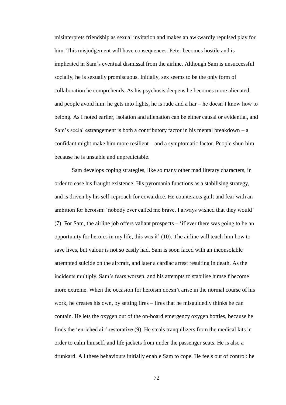misinterprets friendship as sexual invitation and makes an awkwardly repulsed play for him. This misjudgement will have consequences. Peter becomes hostile and is implicated in Sam's eventual dismissal from the airline. Although Sam is unsuccessful socially, he is sexually promiscuous. Initially, sex seems to be the only form of collaboration he comprehends. As his psychosis deepens he becomes more alienated, and people avoid him: he gets into fights, he is rude and a liar – he doesn't know how to belong. As I noted earlier, isolation and alienation can be either causal or evidential, and Sam's social estrangement is both a contributory factor in his mental breakdown  $-a$ confidant might make him more resilient – and a symptomatic factor. People shun him because he is unstable and unpredictable.

Sam develops coping strategies, like so many other mad literary characters, in order to ease his fraught existence. His pyromania functions as a stabilising strategy, and is driven by his self-reproach for cowardice. He counteracts guilt and fear with an ambition for heroism: 'nobody ever called me brave. I always wished that they would' (7). For Sam, the airline job offers valiant prospects – 'if ever there was going to be an opportunity for heroics in my life, this was it' (10). The airline will teach him how to save lives, but valour is not so easily had. Sam is soon faced with an inconsolable attempted suicide on the aircraft, and later a cardiac arrest resulting in death. As the incidents multiply, Sam's fears worsen, and his attempts to stabilise himself become more extreme. When the occasion for heroism doesn't arise in the normal course of his work, he creates his own, by setting fires – fires that he misguidedly thinks he can contain. He lets the oxygen out of the on-board emergency oxygen bottles, because he finds the 'enriched air' restorative (9). He steals tranquilizers from the medical kits in order to calm himself, and life jackets from under the passenger seats. He is also a drunkard. All these behaviours initially enable Sam to cope. He feels out of control: he

72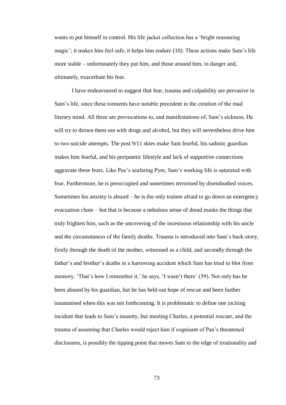wants to put himself in control. His life jacket collection has a 'bright reassuring magic'; it makes him feel safe, it helps him endure (10). These actions make Sam's life more stable – unfortunately they put him, and those around him, in danger and, ultimately, exacerbate his fear.

I have endeavoured to suggest that fear, trauma and culpability are pervasive in Sam's life, since these torments have notable precedent in the creation of the mad literary mind. All three are provocations to, and manifestations of, Sam's sickness. He will try to drown them out with drugs and alcohol, but they will nevertheless drive him to two suicide attempts. The post 9/11 skies make Sam fearful, his sadistic guardian makes him fearful, and his peripatetic lifestyle and lack of supportive connections aggravate these fears. Like Poe's seafaring Pym, Sam's working life is saturated with fear. Furthermore, he is preoccupied and sometimes terrorised by disembodied voices. Sometimes his anxiety is absurd – he is the only trainee afraid to go down an emergency evacuation chute – but that is because a nebulous sense of dread masks the things that truly frighten him, such as the uncovering of the incestuous relationship with his uncle and the circumstances of the family deaths. Trauma is introduced into Sam's back-story, firstly through the death of the mother, witnessed as a child, and secondly through the father's and brother's deaths in a harrowing accident which Sam has tried to blot from memory. 'That's how I remember it,' he says, 'I wasn't there' (59). Not only has he been abused by his guardian, but he has held out hope of rescue and been further traumatised when this was not forthcoming. It is problematic to define one inciting incident that leads to Sam's insanity, but meeting Charles, a potential rescuer, and the trauma of assuming that Charles would reject him if cognisant of Pan's threatened disclosures, is possibly the tipping point that moves Sam to the edge of irrationality and

73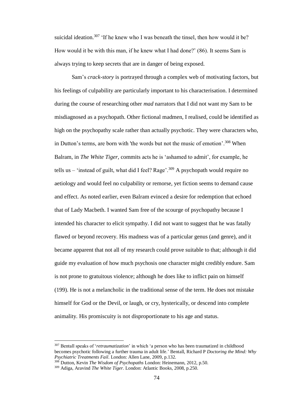suicidal ideation.<sup>307</sup> 'If he knew who I was beneath the tinsel, then how would it be? How would it be with this man, if he knew what I had done?' (86). It seems Sam is always trying to keep secrets that are in danger of being exposed.

Sam's *crack*-*story* is portrayed through a complex web of motivating factors, but his feelings of culpability are particularly important to his characterisation. I determined during the course of researching other *mad* narrators that I did not want my Sam to be misdiagnosed as a psychopath. Other fictional madmen, I realised, could be identified as high on the psychopathy scale rather than actually psychotic. They were characters who, in Dutton's terms, are born with 'the words but not the music of emotion'.<sup>308</sup> When Balram, in *The White Tiger,* commits acts he is 'ashamed to admit', for example, he tells us – 'instead of guilt, what did I feel? Rage'.<sup>309</sup> A psychopath would require no aetiology and would feel no culpability or remorse, yet fiction seems to demand cause and effect. As noted earlier, even Balram evinced a desire for redemption that echoed that of Lady Macbeth. I wanted Sam free of the scourge of psychopathy because I intended his character to elicit sympathy. I did not want to suggest that he was fatally flawed or beyond recovery. His madness was of a particular genus (and genre), and it became apparent that not all of my research could prove suitable to that; although it did guide my evaluation of how much psychosis one character might credibly endure. Sam is not prone to gratuitous violence; although he does like to inflict pain on himself (199). He is not a melancholic in the traditional sense of the term. He does not mistake himself for God or the Devil, or laugh, or cry, hysterically, or descend into complete animality. His promiscuity is not disproportionate to his age and status.

<sup>307</sup> Bentall speaks of '*retraumatization*' in which 'a person who has been traumatized in childhood becomes psychotic following a further trauma in adult life.' Bentall, Richard P *Doctoring the Mind: Why Psychiatric Treatments Fail*. London: Allen Lane, 2009, p.132.

<sup>308</sup> Dutton, Kevin *The Wisdom of Psychopaths* London: Heinemann, 2012, p.50.

<sup>309</sup> Adiga, Aravind *The White Tiger.* London: Atlantic Books, 2008, p.250.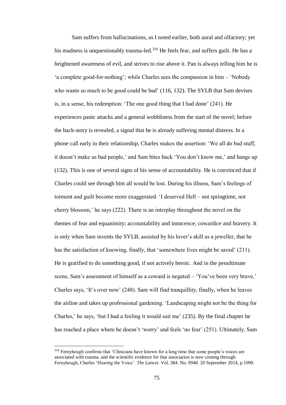Sam suffers from hallucinations, as I noted earlier, both aural and olfactory; yet his madness is unquestionably trauma-led.<sup>310</sup> He feels fear, and suffers guilt. He has a heightened awareness of evil, and strives to rise above it. Pan is always telling him he is 'a complete good-for-nothing'; while Charles sees the compassion in him – 'Nobody who wants so much to be good could be bad' (116, 132). The SYLB that Sam devises is, in a sense, his redemption: 'The one good thing that I had done' (241). He experiences panic attacks and a general wobbliness from the start of the novel; before the back-story is revealed, a signal that he is already suffering mental distress. In a phone call early in their relationship, Charles makes the assertion: 'We all do bad stuff, it doesn't make us bad people,' and Sam bites back 'You don't know me,' and hangs up (132). This is one of several signs of his sense of accountability. He is convinced that if Charles could see through him all would be lost. During his illness, Sam's feelings of torment and guilt become more exaggerated. 'I deserved Hell – not springtime, not cherry blossom,' he says (222). There is an interplay throughout the novel on the themes of fear and equanimity; accountability and innocence; cowardice and bravery. It is only when Sam invents the SYLB, assisted by his lover's skill as a jeweller, that he has the satisfaction of knowing, finally, that 'somewhere lives might be saved' (211). He is gratified to do something good, if not actively heroic. And in the penultimate scene, Sam's assessment of himself as a coward is negated – 'You've been very brave,' Charles says, 'It's over now' (248). Sam will find tranquillity, finally, when he leaves the airline and takes up professional gardening. 'Landscaping might not be the thing for Charles,' he says, 'but I had a feeling it would suit me' (235). By the final chapter he has reached a place where he doesn't 'worry' and feels 'no fear' (251). Ultimately, Sam

<sup>&</sup>lt;sup>310</sup> Fernyhough confirms that 'Clinicians have known for a long time that some people's voices are associated with trauma, and the scientific evidence for that association is now coming through. Fernyhough, Charles 'Hearing the Voice'. *The Lancet*. Vol. 384. No. 9948. 20 September 2014, p.1090.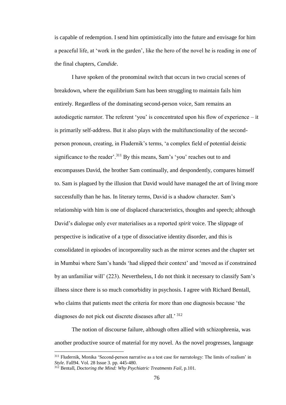is capable of redemption. I send him optimistically into the future and envisage for him a peaceful life, at 'work in the garden', like the hero of the novel he is reading in one of the final chapters, *Candide*.

I have spoken of the pronominal switch that occurs in two crucial scenes of breakdown, where the equilibrium Sam has been struggling to maintain fails him entirely. Regardless of the dominating second-person voice, Sam remains an autodiegetic narrator. The referent 'you' is concentrated upon his flow of experience – it is primarily self-address. But it also plays with the multifunctionality of the secondperson pronoun, creating, in Fludernik's terms, 'a complex field of potential deistic significance to the reader'.<sup>311</sup> By this means, Sam's 'you' reaches out to and encompasses David, the brother Sam continually, and despondently, compares himself to. Sam is plagued by the illusion that David would have managed the art of living more successfully than he has. In literary terms, David is a shadow character. Sam's relationship with him is one of displaced characteristics, thoughts and speech; although David's dialogue only ever materialises as a reported *spirit* voice. The slippage of perspective is indicative of a type of dissociative identity disorder, and this is consolidated in episodes of incorporeality such as the mirror scenes and the chapter set in Mumbai where Sam's hands 'had slipped their context' and 'moved as if constrained by an unfamiliar will' (223). Nevertheless, I do not think it necessary to classify Sam's illness since there is so much comorbidity in psychosis. I agree with Richard Bentall, who claims that patients meet the criteria for more than one diagnosis because 'the diagnoses do not pick out discrete diseases after all.' <sup>312</sup>

The notion of discourse failure, although often allied with schizophrenia, was another productive source of material for my novel. As the novel progresses, language

<sup>&</sup>lt;sup>311</sup> Fludernik, Monika 'Second-person narrative as a test case for narratology: The limits of realism' in *Style*. Fall94. Vol. 28 Issue 3. pp. 445-480.

<sup>312</sup> Bentall, *Doctoring the Mind: Why Psychiatric Treatments Fail*, p.101.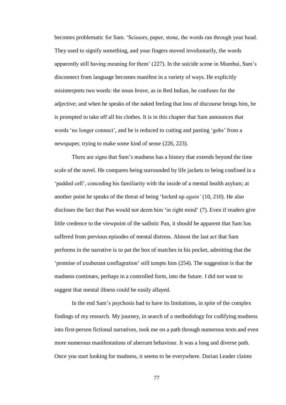becomes problematic for Sam. 'Scissors, paper, stone, the words ran through your head. They used to signify something, and your fingers moved involuntarily, the words apparently still having meaning for them' (227). In the suicide scene in Mumbai, Sam's disconnect from language becomes manifest in a variety of ways. He explicitly misinterprets two words: the noun *brave*, as in Red Indian, he confuses for the adjective; and when he speaks of the naked feeling that loss of discourse brings him, he is prompted to take off all his clothes. It is in this chapter that Sam announces that words 'no longer connect', and he is reduced to cutting and pasting 'gobs' from a newspaper, trying to make some kind of sense (226, 223).

There are signs that Sam's madness has a history that extends beyond the time scale of the novel. He compares being surrounded by life jackets to being confined in a 'padded cell', conceding his familiarity with the inside of a mental health asylum; at another point he speaks of the threat of being 'locked up *again'* (10, 210). He also discloses the fact that Pan would not deem him 'in right mind' (7). Even if readers give little credence to the viewpoint of the sadistic Pan, it should be apparent that Sam has suffered from previous episodes of mental distress. Almost the last act that Sam performs in the narrative is to pat the box of matches in his pocket, admitting that the 'promise of exuberant conflagration' still tempts him (254). The suggestion is that the madness continues, perhaps in a controlled form, into the future. I did not want to suggest that mental illness could be easily allayed.

In the end Sam's psychosis had to have its limitations, in spite of the complex findings of my research. My journey, in search of a methodology for codifying madness into first-person fictional narratives, took me on a path through numerous texts and even more numerous manifestations of aberrant behaviour. It was a long and diverse path. Once you start looking for madness, it seems to be everywhere. Darian Leader claims

77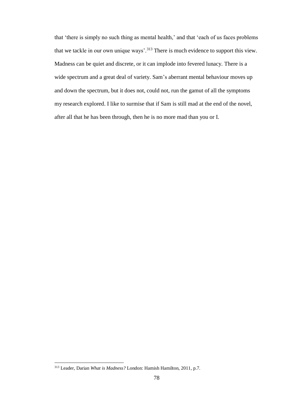that 'there is simply no such thing as mental health,' and that 'each of us faces problems that we tackle in our own unique ways'.<sup>313</sup> There is much evidence to support this view. Madness can be quiet and discrete, or it can implode into fevered lunacy. There is a wide spectrum and a great deal of variety. Sam's aberrant mental behaviour moves up and down the spectrum, but it does not, could not, run the gamut of all the symptoms my research explored. I like to surmise that if Sam is still mad at the end of the novel, after all that he has been through, then he is no more mad than you or I.

<sup>313</sup> Leader, Darian *What is Madness?* London: Hamish Hamilton, 2011, p.7.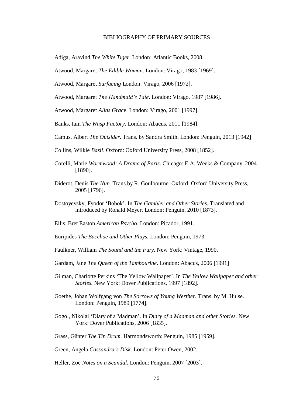## BIBLIOGRAPHY OF PRIMARY SOURCES

Adiga, Aravind *The White Tiger*. London: Atlantic Books, 2008.

Atwood, Margaret *The Edible Woman*. London: Virago, 1983 [1969].

Atwood, Margaret *Surfacing* London: Virago, 2006 [1972].

Atwood, Margaret *The Handmaid's Tale*. London: Virago, 1987 [1986].

Atwood, Margaret *Alias Grac*e. London: Virago, 2001 [1997].

Banks, Iain *The Wasp Factory*. London: Abacus, 2011 [1984].

Camus, Albert *The Outsider*. Trans. by Sandra Smith. London: Penguin, 2013 [1942]

- Collins, Wilkie *Basil*. Oxford: Oxford University Press, 2008 [1852].
- Corelli, Marie *Wormwood: A Drama of Paris*. Chicago: E.A. Weeks & Company, 2004 [1890].
- Diderot, Denis *The Nun.* Trans.by R. Goulbourne. Oxford: Oxford University Press, 2005 [1796].
- Dostoyevsky, Fyodor 'Bobok'. In *The Gambler and Other Stories.* Translated and introduced by Ronald Meyer. London: Penguin, 2010 [1873].
- Ellis, Bret Easton *American Psycho.* London: Picador, 1991.
- Euripides *The Bacchae and Other Plays.* London: Penguin, 1973.
- Faulkner, William *The Sound and the Fury.* New York: Vintage, 1990.
- Gardam, Jane *The Queen of the Tambourine.* London: Abacus, 2006 [1991]
- Gilman, Charlotte Perkins 'The Yellow Wallpaper'. In *The Yellow Wallpaper and other Stories.* New York: Dover Publications, 1997 [1892].
- Goethe, Johan Wolfgang von *The Sorrows of Young Werther.* Trans. by M. Hulse. London: Penguin, 1989 [1774].
- Gogol, Nikolai 'Diary of a Madman'. In *Diary of a Madman and other Stories.* New York: Dover Publications, 2006 [1835].
- Grass, Günter *The Tin Drum.* Harmondsworth: Penguin, 1985 [1959].

Green, Angela *Cassandra's Disk.* London: Peter Owen, 2002.

Heller, Zoë *Notes on a Scandal.* London: Penguin, 2007 [2003].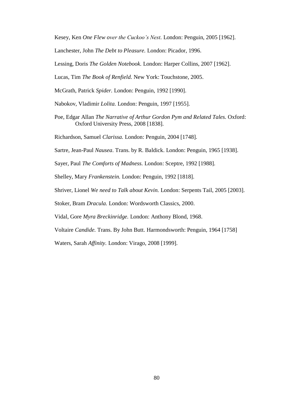Kesey, Ken *One Flew over the Cuckoo's Nest.* London: Penguin, 2005 [1962].

Lanchester, John *The Debt to Pleasure.* London: Picador, 1996.

Lessing, Doris *The Golden Notebook.* London: Harper Collins, 2007 [1962].

Lucas, Tim *The Book of Renfield.* New York: Touchstone, 2005.

McGrath, Patrick *Spider.* London: Penguin, 1992 [1990].

Nabokov, Vladimir *Lolita.* London: Penguin, 1997 [1955].

Poe, Edgar Allan *The Narrative of Arthur Gordon Pym and Related Tales.* Oxford: Oxford University Press, 2008 [1838].

Richardson, Samuel *Clarissa.* London: Penguin, 2004 [1748].

Sartre, Jean-Paul *Nausea*. Trans. by R. Baldick. London: Penguin, 1965 [1938].

Sayer, Paul *The Comforts of Madness.* London: Sceptre, 1992 [1988].

Shelley, Mary *Frankenstein.* London: Penguin, 1992 [1818].

Shriver, Lionel *We need to Talk about Kevin.* London: Serpents Tail, 2005 [2003].

Stoker, Bram *Dracula.* London: Wordsworth Classics, 2000.

Vidal, Gore *Myra Breckinridge.* London: Anthony Blond, 1968.

Voltaire *Candide.* Trans. By John Butt. Harmondsworth: Penguin, 1964 [1758]

Waters, Sarah *Affinity.* London: Virago, 2008 [1999].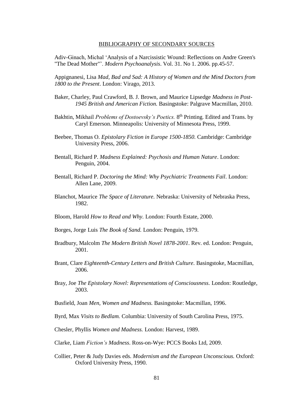## BIBLIOGRAPHY OF SECONDARY SOURCES

Adiv-Ginach, Michal 'Analysis of a Narcissistic Wound: Reflections on Andre Green's "The Dead Mother"'. *Modern Psychoanalysis*. Vol. 31. No 1. 2006. pp.45-57.

Appignanesi, Lisa *Mad, Bad and Sad: A History of Women and the Mind Doctors from 1800 to the Present*. London: Virago, 2013.

- Baker, Charley, Paul Crawford, B. J. Brown, and Maurice Lipsedge *Madness in Post-1945 British and American Fiction.* Basingstoke: Palgrave Macmillan, 2010.
- Bakhtin, Mikhail *Problems of Dostoevsky's Poetics*. 8<sup>th</sup> Printing. Edited and Trans. by Caryl Emerson. Minneapolis: University of Minnesota Press, 1999.
- Beebee, Thomas O. *Epistolary Fiction in Europe 1500-1850.* Cambridge: Cambridge University Press, 2006.
- Bentall, Richard P. *Madness Explained: Psychosis and Human Nature*. London: Penguin, 2004.
- Bentall, Richard P. *Doctoring the Mind: Why Psychiatric Treatments Fail*. London: Allen Lane, 2009.
- Blanchot, Maurice *The Space of Literature.* Nebraska: University of Nebraska Press, 1982.
- Bloom, Harold *How to Read and Why.* London: Fourth Estate, 2000.
- Borges, Jorge Luis *The Book of Sand.* London: Penguin, 1979.
- Bradbury, Malcolm *The Modern British Novel 1878-2001*. Rev. ed. London: Penguin, 2001.
- Brant, Clare *Eighteenth-Century Letters and British Culture.* Basingstoke, Macmillan, 2006.
- Bray, Joe *The Epistolary Novel: Representations of Consciousness.* London: Routledge, 2003.
- Busfield, Joan *Men, Women and Madness.* Basingstoke: Macmillan, 1996.
- Byrd, Max *Visits to Bedlam.* Columbia: University of South Carolina Press, 1975.

Chesler, Phyllis *Women and Madness.* London: Harvest, 1989.

- Clarke, Liam *Fiction's Madness*. Ross-on-Wye: PCCS Books Ltd, 2009.
- Collier, Peter & Judy Davies eds. *Modernism and the European Unconscious.* Oxford: Oxford University Press, 1990.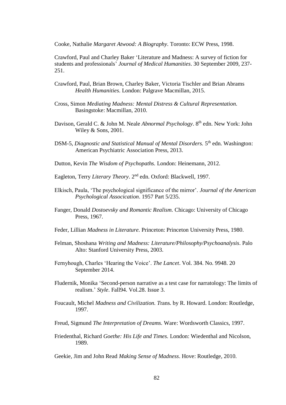Cooke, Nathalie *Margaret Atwood: A Biography.* Toronto: ECW Press, 1998.

Crawford, Paul and Charley Baker 'Literature and Madness: A survey of fiction for students and professionals' *Journal of Medical Humanities*. 30 September 2009, 237- 251.

- Crawford, Paul, Brian Brown, Charley Baker, Victoria Tischler and Brian Abrams *Health Humanities*. London: Palgrave Macmillan, 2015.
- Cross, Simon *Mediating Madness: Mental Distress & Cultural Representation.* Basingstoke: Macmillan, 2010.
- Davison, Gerald C. & John M. Neale *Abnormal Psychology*. 8th edn. New York: John Wiley & Sons, 2001.
- DSM-5, *Diagnostic and Statistical Manual of Mental Disorders*. 5<sup>th</sup> edn. Washington: American Psychiatric Association Press, 2013.
- Dutton, Kevin *The Wisdom of Psychopaths.* London: Heinemann, 2012.

Eagleton, Terry *Literary Theory*. 2<sup>nd</sup> edn. Oxford: Blackwell, 1997.

- Elkisch, Paula, 'The psychological significance of the mirror'. *Journal of the American Psychological Assocication*. 1957 Part 5/235.
- Fanger, Donald *Dostoevsky and Romantic Realism.* Chicago: University of Chicago Press, 1967.
- Feder, Lillian *Madness in Literature.* Princeton: Princeton University Press, 1980.
- Felman, Shoshana *Writing and Madness: Literature/Philosophy/Psychoanalysis.* Palo Alto: Stanford University Press, 2003.
- Fernyhough, Charles 'Hearing the Voice'. *The Lancet*. Vol. 384. No. 9948. 20 September 2014.
- Fludernik, Monika 'Second-person narrative as a test case for narratology: The limits of realism.' *Style*. Fall94. Vol.28. Issue 3.
- Foucault, Michel *Madness and Civilization. T*rans. by R. Howard. London: Routledge, 1997.
- Freud, Sigmund *The Interpretation of Dreams.* Ware: Wordsworth Classics, 1997.
- Friedenthal, Richard *Goethe: His Life and Times.* London: Wiedenthal and Nicolson, 1989.

Geekie, Jim and John Read *Making Sense of Madness*. Hove: Routledge, 2010.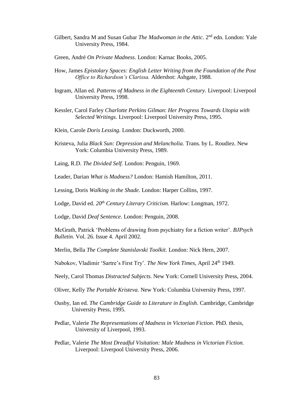- Gilbert, Sandra M and Susan Gubar *The Madwoman in the Attic*. 2<sup>nd</sup> edn. London: Yale University Press, 1984.
- Green, André *On Private Madness.* London: Karnac Books, 2005.
- How, James *Epistolary Spaces: English Letter Writing from the Foundation of the Post Office to Richardson's Clarissa.* Aldershot: Ashgate, 1988.
- Ingram, Allan ed. *Patterns of Madness in the Eighteenth Century.* Liverpool: Liverpool University Press, 1998.
- Kessler, Carol Farley *Charlotte Perkins Gilman*: *Her Progress Towards Utopia with Selected Writings*. Liverpool: Liverpool University Press, 1995.
- Klein, Carole *Doris Lessing.* London: Duckworth, 2000.
- Kristeva, Julia *Black Sun: Depression and Melancholia.* Trans. by L. Roudiez. New York: Columbia University Press, 1989.
- Laing, R.D. *The Divided Self.* London: Penguin, 1969.

Leader, Darian *What is Madness?* London: Hamish Hamilton, 2011.

Lessing, Doris *Walking in the Shade.* London: Harper Collins, 1997.

Lodge, David ed. *20th Century Literary Criticism.* Harlow: Longman, 1972.

Lodge, David *Deaf Sentence.* London: Penguin, 2008.

McGrath, Patrick 'Problems of drawing from psychiatry for a fiction writer'. *BJPsych Bulletin*. Vol. 26. Issue 4. April 2002.

Merlin, Bella *The Complete Stanislavski Toolkit.* London: Nick Hern, 2007.

Nabokov, Vladimir 'Sartre's First Try'. *The New York Times*, April 24th 1949.

- Neely, Carol Thomas *Distracted Subjects.* New York: Cornell University Press, 2004.
- Oliver, Kelly *The Portable Kristeva.* New York: Columbia University Press, 1997.
- Ousby, Ian ed. *The Cambridge Guide to Literature in English.* Cambridge, Cambridge University Press, 1995.

Pedlar, Valerie *The Representations of Madness in Victorian Fiction*. PhD. thesis, University of Liverpool, 1993.

Pedlar, Valerie *The Most Dreadful Visitation: Male Madness in Victorian Fiction.*  Liverpool: Liverpool University Press, 2006.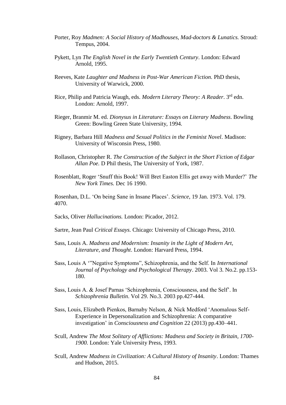- Porter, Roy *Madmen: A Social History of Madhouses, Mad-doctors & Lunatics.* Stroud: Tempus, 2004.
- Pykett, Lyn *The English Novel in the Early Twentieth Century.* London: Edward Arnold, 1995.
- Reeves, Kate *Laughter and Madness in Post-War American Fiction.* PhD thesis, University of Warwick, 2000.
- Rice, Philip and Patricia Waugh, eds. *Modern Literary Theory: A Reader*. 3 rd edn. London: Arnold, 1997.
- Rieger, Branmir M. ed. *Dionysus in Literature: Essays on Literary Madness*. Bowling Green: Bowling Green State University, 1994.
- Rigney, Barbara Hill *Madness and Sexual Politics in the Feminist Novel.* Madison: University of Wisconsin Press, 1980.
- Rollason, Christopher R. *The Construction of the Subject in the Short Fiction of Edgar Allan Poe.* D Phil thesis, The University of York, 1987.
- Rosenblatt, Roger 'Snuff this Book! Will Bret Easton Ellis get away with Murder?' *The New York Times.* Dec 16 1990.

Rosenhan, D.L. 'On being Sane in Insane Places'. *Science*, 19 Jan. 1973. Vol. 179. 4070.

- Sacks, Oliver *Hallucinations.* London: Picador, 2012.
- Sartre, Jean Paul *Critical Essays.* Chicago: University of Chicago Press, 2010.
- Sass, Louis A. *Madness and Modernism: Insanity in the Light of Modern Art, Literature, and Thought*. London: Harvard Press, 1994.
- Sass, Louis A '"Negative Symptoms", Schizophrenia, and the Self. In *International Journal of Psychology and Psychological Therapy*. 2003. Vol 3. No.2. pp.153- 180.
- Sass, Louis A. & Josef Parnas 'Schizophrenia, Consciousness, and the Self'. In *Schizophrenia Bulletin*. Vol 29. No.3. 2003 pp.427-444.
- Sass, Louis, Elizabeth Pienkos, Barnaby Nelson, & Nick Medford 'Anomalous Self-Experience in Depersonalization and Schizophrenia: A comparative investigation' in *Consciousness and Cognition* 22 (2013) pp.430–441.
- Scull, Andrew *The Most Solitary of Afflictions: Madness and Society in Britain, 1700- 1900.* London: Yale University Press, 1993.
- Scull, Andrew *Madness in Civilization: A Cultural History of Insanity*. London: Thames and Hudson, 2015.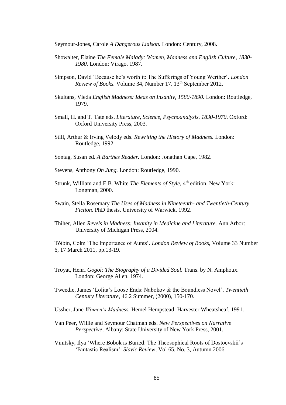Seymour-Jones, Carole *A Dangerous Liaison.* London: Century, 2008.

- Showalter, Elaine *The Female Malady: Women, Madness and English Culture, 1830- 1980.* London: Virago, 1987.
- Simpson, David 'Because he's worth it: The Sufferings of Young Werther'. *London Review of Books.* Volume 34, Number 17. 13th September 2012.
- Skultans, Vieda *English Madness: Ideas on Insanity, 1580-1890.* London: Routledge, 1979.
- Small, H. and T. Tate eds. *Literature, Science, Psychoanalysis, 1830-1970*. Oxford: Oxford University Press, 2003.
- Still, Arthur & Irving Velody eds. *Rewriting the History of Madness.* London: Routledge, 1992.
- Sontag, Susan ed. *A Barthes Reader.* London: Jonathan Cape, 1982.
- Stevens, Anthony *On Jung.* London: Routledge, 1990.
- Strunk, William and E.B. White *The Elements of Style*, 4<sup>th</sup> edition. New York: Longman, 2000.
- Swain, Stella Rosemary *The Uses of Madness in Nineteenth- and Twentieth-Century Fiction*. PhD thesis. University of Warwick, 1992.
- Thiher, Allen *Revels in Madness: Insanity in Medicine and Literature.* Ann Arbor: University of Michigan Press, 2004.

Tóibín, Colm 'The Importance of Aunts'. *London Review of Books*, Volume 33 Number 6, 17 March 2011, pp.13-19.

- Troyat, Henri *Gogol: The Biography of a Divided Soul.* Trans. by N. Amphoux. London: George Allen, 1974.
- Tweedie, James 'Lolita's Loose Ends: Nabokov & the Boundless Novel'. *Twentieth Century Literature*, 46.2 Summer, (2000), 150-170.
- Ussher, Jane *Women's Madness.* Hemel Hempstead: Harvester Wheatsheaf, 1991.
- Van Peer, Willie and Seymour Chatman eds. *New Perspectives on Narrative Perspective*, Albany: State University of New York Press, 2001.
- Vinitsky, Ilya 'Where Bobok is Buried: The Theosophical Roots of Dostoevskii's 'Fantastic Realism'. *Slavic Review*, Vol 65, No. 3, Autumn 2006.